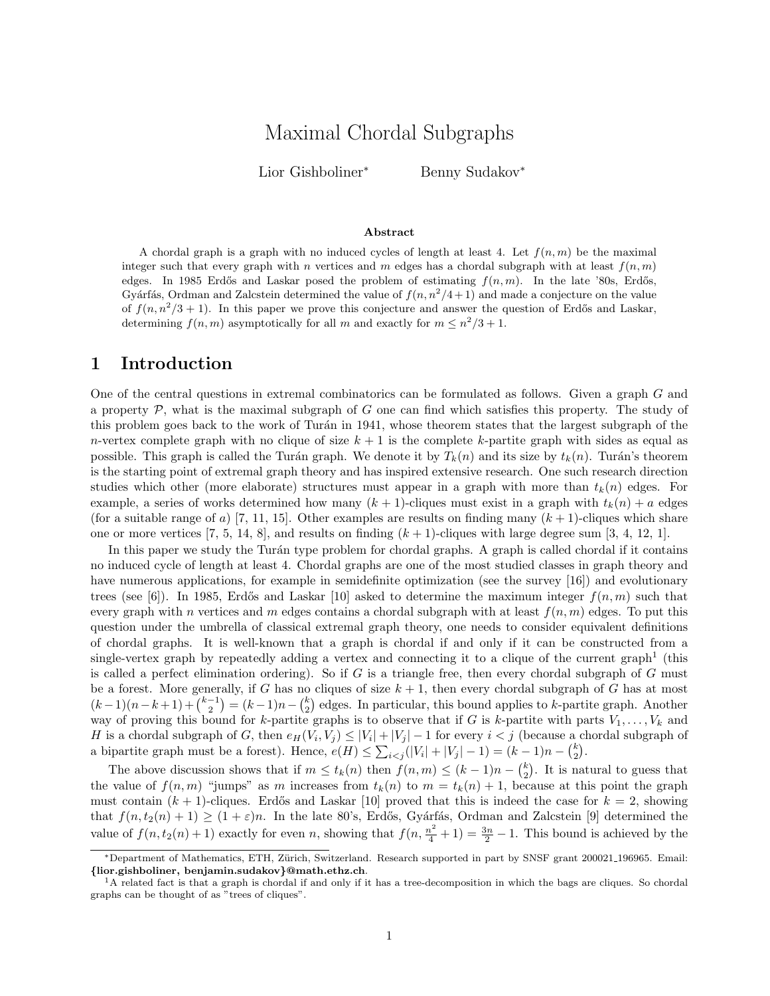# Maximal Chordal Subgraphs

Lior Gishboliner<sup>∗</sup> Benny Sudakov<sup>∗</sup>

#### Abstract

A chordal graph is a graph with no induced cycles of length at least 4. Let  $f(n, m)$  be the maximal integer such that every graph with n vertices and m edges has a chordal subgraph with at least  $f(n, m)$ edges. In 1985 Erdős and Laskar posed the problem of estimating  $f(n, m)$ . In the late '80s, Erdős, Gyárfás, Ordman and Zalcstein determined the value of  $f(n, n^2/4 + 1)$  and made a conjecture on the value of  $f(n, n^2/3 + 1)$ . In this paper we prove this conjecture and answer the question of Erdős and Laskar, determining  $f(n, m)$  asymptotically for all m and exactly for  $m \leq n^2/3 + 1$ .

### 1 Introduction

One of the central questions in extremal combinatorics can be formulated as follows. Given a graph G and a property  $P$ , what is the maximal subgraph of G one can find which satisfies this property. The study of this problem goes back to the work of Turán in 1941, whose theorem states that the largest subgraph of the n-vertex complete graph with no clique of size  $k + 1$  is the complete k-partite graph with sides as equal as possible. This graph is called the Turán graph. We denote it by  $T_k(n)$  and its size by  $t_k(n)$ . Turán's theorem is the starting point of extremal graph theory and has inspired extensive research. One such research direction studies which other (more elaborate) structures must appear in a graph with more than  $t_k(n)$  edges. For example, a series of works determined how many  $(k + 1)$ -cliques must exist in a graph with  $t_k(n) + a$  edges (for a suitable range of a) [7, 11, 15]. Other examples are results on finding many  $(k+1)$ -cliques which share one or more vertices  $[7, 5, 14, 8]$ , and results on finding  $(k + 1)$ -cliques with large degree sum  $[3, 4, 12, 1]$ .

In this paper we study the Turán type problem for chordal graphs. A graph is called chordal if it contains no induced cycle of length at least 4. Chordal graphs are one of the most studied classes in graph theory and have numerous applications, for example in semidefinite optimization (see the survey [16]) and evolutionary trees (see [6]). In 1985, Erdős and Laskar [10] asked to determine the maximum integer  $f(n, m)$  such that every graph with n vertices and m edges contains a chordal subgraph with at least  $f(n, m)$  edges. To put this question under the umbrella of classical extremal graph theory, one needs to consider equivalent definitions of chordal graphs. It is well-known that a graph is chordal if and only if it can be constructed from a single-vertex graph by repeatedly adding a vertex and connecting it to a clique of the current graph<sup>1</sup> (this is called a perfect elimination ordering). So if  $G$  is a triangle free, then every chordal subgraph of  $G$  must be a forest. More generally, if G has no cliques of size  $k + 1$ , then every chordal subgraph of G has at most  $(k-1)(n-k+1) + \binom{k-1}{2} = (k-1)n - \binom{k}{2}$  edges. In particular, this bound applies to k-partite graph. Another way of proving this bound for k-partite graphs is to observe that if G is k-partite with parts  $V_1, \ldots, V_k$  and H is a chordal subgraph of G, then  $e_H(V_i, V_j) \leq |V_i| + |V_j| - 1$  for every  $i < j$  (because a chordal subgraph of a bipartite graph must be a forest). Hence,  $e(H) \leq \sum_{i < j} (|V_i| + |V_j| - 1) = (k - 1)n - \binom{k}{2}$ .

The above discussion shows that if  $m \leq t_k(n)$  then  $f(n,m) \leq (k-1)n - {k \choose 2}$ . It is natural to guess that the value of  $f(n,m)$  "jumps" as m increases from  $t_k(n)$  to  $m = t_k(n) + 1$ , because at this point the graph must contain  $(k + 1)$ -cliques. Erdős and Laskar [10] proved that this is indeed the case for  $k = 2$ , showing that  $f(n, t_2(n) + 1) \ge (1 + \varepsilon)n$ . In the late 80's, Erdős, Gyárfás, Ordman and Zalcstein [9] determined the value of  $f(n, t_2(n) + 1)$  exactly for even n, showing that  $f(n, \frac{n^2}{4} + 1) = \frac{3n}{2} - 1$ . This bound is achieved by the

<sup>∗</sup>Department of Mathematics, ETH, Z¨urich, Switzerland. Research supported in part by SNSF grant 200021 196965. Email: {lior.gishboliner, benjamin.sudakov}@math.ethz.ch.

<sup>&</sup>lt;sup>1</sup>A related fact is that a graph is chordal if and only if it has a tree-decomposition in which the bags are cliques. So chordal graphs can be thought of as "trees of cliques".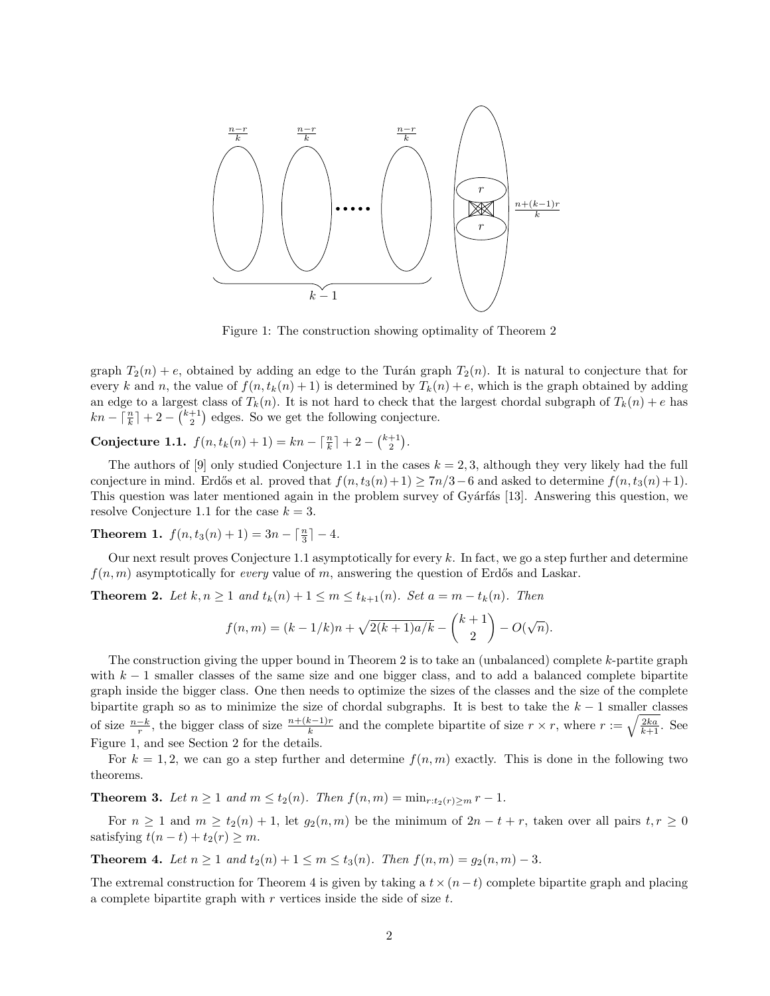

Figure 1: The construction showing optimality of Theorem 2

graph  $T_2(n) + e$ , obtained by adding an edge to the Turán graph  $T_2(n)$ . It is natural to conjecture that for every k and n, the value of  $f(n, t_k(n) + 1)$  is determined by  $T_k(n) + e$ , which is the graph obtained by adding an edge to a largest class of  $T_k(n)$ . It is not hard to check that the largest chordal subgraph of  $T_k(n) + e$  has  $kn - \lceil \frac{n}{k} \rceil + 2 - \binom{k+1}{2}$  edges. So we get the following conjecture.

Conjecture 1.1.  $f(n, t_k(n) + 1) = kn - \lceil \frac{n}{k} \rceil + 2 - {k+1 \choose 2}.$ 

The authors of [9] only studied Conjecture 1.1 in the cases  $k = 2, 3$ , although they very likely had the full conjecture in mind. Erdős et al. proved that  $f(n, t_3(n) + 1) \geq 7n/3 - 6$  and asked to determine  $f(n, t_3(n) + 1)$ . This question was later mentioned again in the problem survey of Gyárfás [13]. Answering this question, we resolve Conjecture 1.1 for the case  $k = 3$ .

**Theorem 1.**  $f(n, t_3(n) + 1) = 3n - \lceil \frac{n}{3} \rceil - 4.$ 

Our next result proves Conjecture 1.1 asymptotically for every k. In fact, we go a step further and determine  $f(n, m)$  asymptotically for *every* value of m, answering the question of Erdős and Laskar.

**Theorem 2.** Let  $k, n \geq 1$  and  $t_k(n) + 1 \leq m \leq t_{k+1}(n)$ . Set  $a = m - t_k(n)$ . Then

$$
f(n,m) = (k - 1/k)n + \sqrt{2(k+1)a/k} - {k+1 \choose 2} - O(\sqrt{n}).
$$

The construction giving the upper bound in Theorem 2 is to take an (unbalanced) complete k-partite graph with  $k-1$  smaller classes of the same size and one bigger class, and to add a balanced complete bipartite graph inside the bigger class. One then needs to optimize the sizes of the classes and the size of the complete bipartite graph so as to minimize the size of chordal subgraphs. It is best to take the  $k-1$  smaller classes of size  $\frac{n-k}{r}$ , the bigger class of size  $\frac{n+(k-1)r}{k}$  and the complete bipartite of size  $r \times r$ , where  $r := \sqrt{\frac{2ka}{k+1}}$ . See Figure 1, and see Section 2 for the details.

For  $k = 1, 2$ , we can go a step further and determine  $f(n, m)$  exactly. This is done in the following two theorems.

**Theorem 3.** Let  $n \geq 1$  and  $m \leq t_2(n)$ . Then  $f(n, m) = \min_{r: t_2(r) > m} r - 1$ .

For  $n \ge 1$  and  $m \ge t_2(n) + 1$ , let  $g_2(n,m)$  be the minimum of  $2n - t + r$ , taken over all pairs  $t, r \ge 0$ satisfying  $t(n-t) + t_2(r) \geq m$ .

Theorem 4. Let  $n \ge 1$  and  $t_2(n) + 1 \le m \le t_3(n)$ . Then  $f(n, m) = g_2(n, m) - 3$ .

The extremal construction for Theorem 4 is given by taking a  $t \times (n-t)$  complete bipartite graph and placing a complete bipartite graph with  $r$  vertices inside the side of size  $t$ .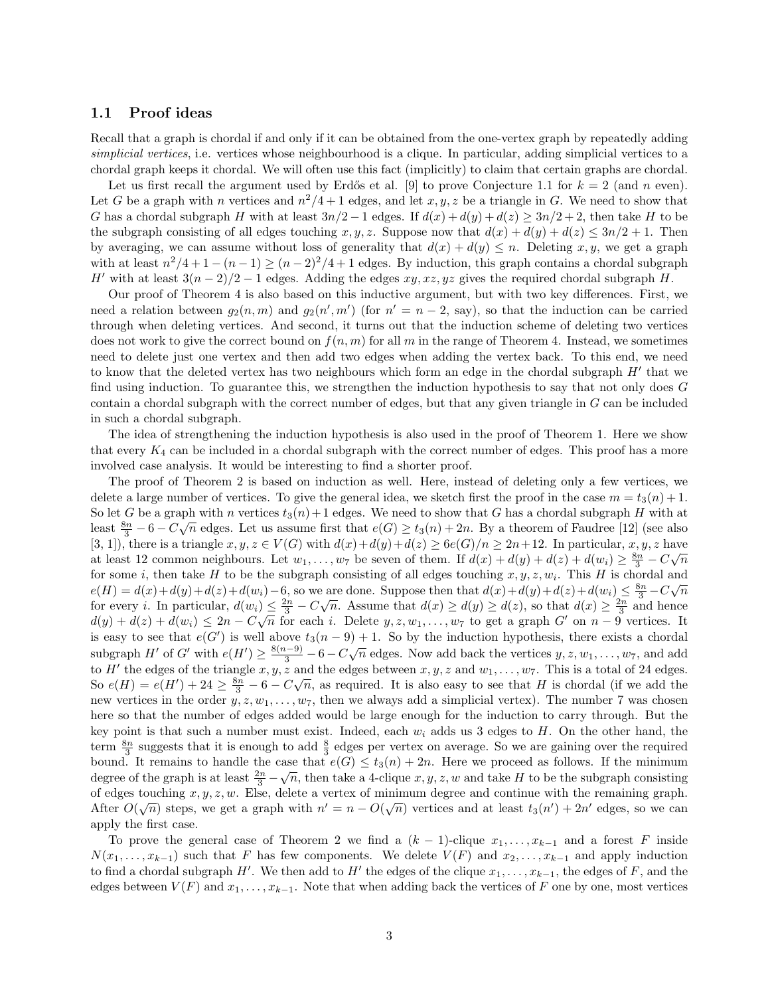#### 1.1 Proof ideas

Recall that a graph is chordal if and only if it can be obtained from the one-vertex graph by repeatedly adding simplicial vertices, i.e. vertices whose neighbourhood is a clique. In particular, adding simplicial vertices to a chordal graph keeps it chordal. We will often use this fact (implicitly) to claim that certain graphs are chordal.

Let us first recall the argument used by Erdős et al. [9] to prove Conjecture 1.1 for  $k = 2$  (and n even). Let G be a graph with n vertices and  $n^2/4 + 1$  edges, and let x, y, z be a triangle in G. We need to show that G has a chordal subgraph H with at least  $3n/2 - 1$  edges. If  $d(x) + d(y) + d(z) \geq 3n/2 + 2$ , then take H to be the subgraph consisting of all edges touching x, y, z. Suppose now that  $d(x) + d(y) + d(z) \leq 3n/2 + 1$ . Then by averaging, we can assume without loss of generality that  $d(x) + d(y) \leq n$ . Deleting x, y, we get a graph with at least  $n^2/4 + 1 - (n-1) \ge (n-2)^2/4 + 1$  edges. By induction, this graph contains a chordal subgraph H' with at least  $3(n-2)/2 - 1$  edges. Adding the edges  $xy, xz, yz$  gives the required chordal subgraph H.

Our proof of Theorem 4 is also based on this inductive argument, but with two key differences. First, we need a relation between  $g_2(n,m)$  and  $g_2(n',m')$  (for  $n' = n - 2$ , say), so that the induction can be carried through when deleting vertices. And second, it turns out that the induction scheme of deleting two vertices does not work to give the correct bound on  $f(n, m)$  for all m in the range of Theorem 4. Instead, we sometimes need to delete just one vertex and then add two edges when adding the vertex back. To this end, we need to know that the deleted vertex has two neighbours which form an edge in the chordal subgraph  $H'$  that we find using induction. To guarantee this, we strengthen the induction hypothesis to say that not only does G contain a chordal subgraph with the correct number of edges, but that any given triangle in G can be included in such a chordal subgraph.

The idea of strengthening the induction hypothesis is also used in the proof of Theorem 1. Here we show that every  $K_4$  can be included in a chordal subgraph with the correct number of edges. This proof has a more involved case analysis. It would be interesting to find a shorter proof.

The proof of Theorem 2 is based on induction as well. Here, instead of deleting only a few vertices, we delete a large number of vertices. To give the general idea, we sketch first the proof in the case  $m = t_3(n) + 1$ . So let G be a graph with n vertices  $t_3(n) + 1$  edges. We need to show that G has a chordal subgraph H with at least  $\frac{8n}{3} - 6 - C\sqrt{n}$  edges. Let us assume first that  $e(G) \ge t_3(n) + 2n$ . By a theorem of Faudree [12] (see also [3, 1]), there is a triangle  $x, y, z \in V(G)$  with  $d(x)+d(y)+d(z) \ge 6e(G)/n \ge 2n+12$ . In particular,  $x, y, z$  have at least 12 common neighbours. Let  $w_1, \ldots, w_7$  be seven of them. If  $d(x) + d(y) + d(z) + d(w_i) \ge \frac{8n}{3} - C\sqrt{n}$ for some *i*, then take H to be the subgraph consisting of all edges touching  $x, y, z, w_i$ . This H is chordal and  $e(H) = d(x) + d(y) + d(z) + d(w_i) - 6$ , so we are done. Suppose then that  $d(x) + d(y) + d(z) + d(w_i) \leq \frac{8n}{3} - C\sqrt{n}$ for every *i*. In particular,  $d(w_i) \leq \frac{2n}{3} - C\sqrt{n}$ . Assume that  $d(x) \geq d(y) \geq d(z)$ , so that  $d(x) \geq \frac{2n}{3}$  and hence  $d(y) + d(z) + d(w_i) \leq 2n - C\sqrt{n}$  for each i. Delete  $y, z, w_1, \ldots, w_7$  to get a graph G' on  $n-9$  vertices. It is easy to see that  $e(G')$  is well above  $t_3(n-9)+1$ . So by the induction hypothesis, there exists a chordal subgraph H' of G' with  $e(H') \ge \frac{8(n-9)}{3} - 6 - C\sqrt{n}$  edges. Now add back the vertices  $y, z, w_1, \ldots, w_7$ , and add to H<sup> $\prime$ </sup> the edges of the triangle  $x, y, z$  and the edges between  $x, y, z$  and  $w_1, \ldots, w_7$ . This is a total of 24 edges. So  $e(H) = e(H') + 24 \ge \frac{8n}{3} - 6 - C\sqrt{n}$ , as required. It is also easy to see that H is chordal (if we add the new vertices in the order  $y, z, w_1, \ldots, w_7$ , then we always add a simplicial vertex). The number 7 was chosen here so that the number of edges added would be large enough for the induction to carry through. But the key point is that such a number must exist. Indeed, each  $w_i$  adds us 3 edges to  $H$ . On the other hand, the term  $\frac{8n}{3}$  suggests that it is enough to add  $\frac{8}{3}$  edges per vertex on average. So we are gaining over the required bound. It remains to handle the case that  $e(G) \le t_3(n) + 2n$ . Here we proceed as follows. If the minimum degree of the graph is at least  $\frac{2n}{3} - \sqrt{n}$ , then take a 4-clique x, y, z, w and take H to be the subgraph consisting of edges touching  $x, y, z, w$ . Else, delete a vertex of minimum degree and continue with the remaining graph. After  $O(\sqrt{n})$  steps, we get a graph with  $n' = n - O(\sqrt{n})$  vertices and at least  $t_3(n') + 2n'$  edges, so we can apply the first case.

To prove the general case of Theorem 2 we find a  $(k-1)$ -clique  $x_1, \ldots, x_{k-1}$  and a forest F inside  $N(x_1, \ldots, x_{k-1})$  such that F has few components. We delete  $V(F)$  and  $x_2, \ldots, x_{k-1}$  and apply induction to find a chordal subgraph  $H'$ . We then add to  $H'$  the edges of the clique  $x_1, \ldots, x_{k-1}$ , the edges of F, and the edges between  $V(F)$  and  $x_1, \ldots, x_{k-1}$ . Note that when adding back the vertices of F one by one, most vertices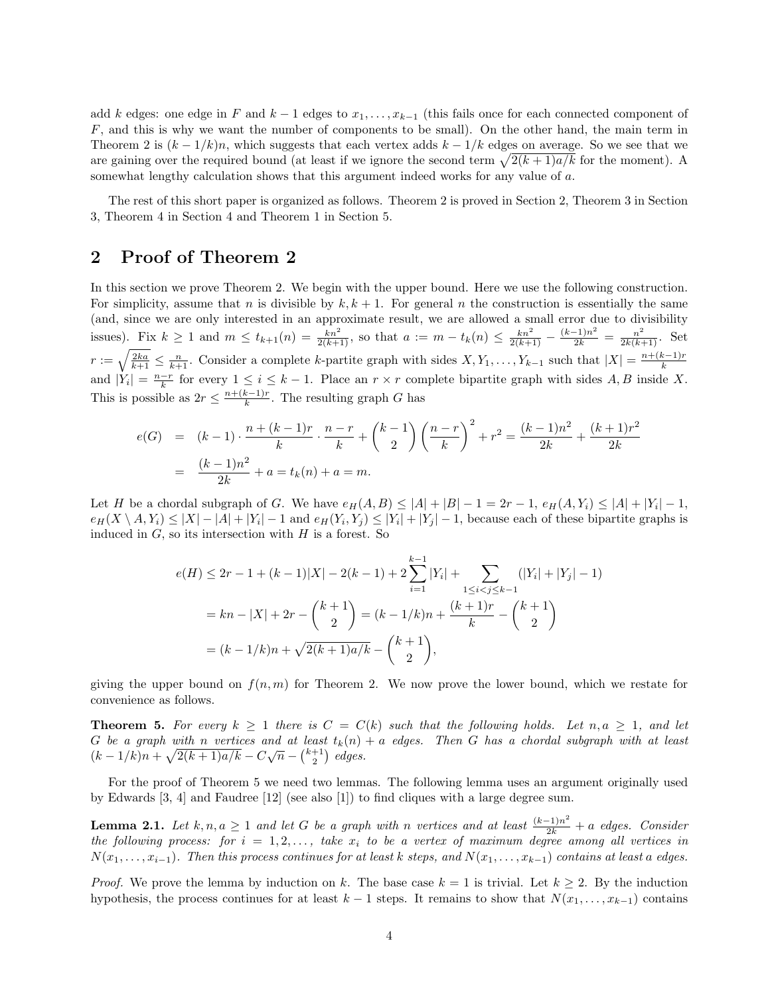add k edges: one edge in F and  $k-1$  edges to  $x_1, \ldots, x_{k-1}$  (this fails once for each connected component of  $F$ , and this is why we want the number of components to be small). On the other hand, the main term in Theorem 2 is  $(k - 1/k)n$ , which suggests that each vertex adds  $k - 1/k$  edges on average. So we see that we are gaining over the required bound (at least if we ignore the second term  $\sqrt{2(k+1)a/k}$  for the moment). A somewhat lengthy calculation shows that this argument indeed works for any value of a.

The rest of this short paper is organized as follows. Theorem 2 is proved in Section 2, Theorem 3 in Section 3, Theorem 4 in Section 4 and Theorem 1 in Section 5.

# 2 Proof of Theorem 2

In this section we prove Theorem 2. We begin with the upper bound. Here we use the following construction. For simplicity, assume that n is divisible by  $k, k + 1$ . For general n the construction is essentially the same (and, since we are only interested in an approximate result, we are allowed a small error due to divisibility issues). Fix  $k \ge 1$  and  $m \le t_{k+1}(n) = \frac{kn^2}{2(k+1)}$ , so that  $a := m - t_k(n) \le \frac{kn^2}{2(k+1)} - \frac{(k-1)n^2}{2k} = \frac{n^2}{2k(k+1)}$ . Set  $r := \sqrt{\frac{2ka}{k+1}} \leq \frac{n}{k+1}$ . Consider a complete k-partite graph with sides  $X, Y_1, \ldots, Y_{k-1}$  such that  $|X| = \frac{n+(k-1)r}{k}$ k and  $|Y_i| = \frac{n-r}{k}$  for every  $1 \le i \le k-1$ . Place an  $r \times r$  complete bipartite graph with sides A, B inside X. This is possible as  $2r \leq \frac{n+(k-1)r}{k}$  $\frac{k-1}{k}$ . The resulting graph G has

$$
e(G) = (k-1) \cdot \frac{n + (k-1)r}{k} \cdot \frac{n-r}{k} + {k-1 \choose 2} \left(\frac{n-r}{k}\right)^2 + r^2 = \frac{(k-1)n^2}{2k} + \frac{(k+1)r^2}{2k}
$$

$$
= \frac{(k-1)n^2}{2k} + a = t_k(n) + a = m.
$$

Let H be a chordal subgraph of G. We have  $e_H(A, B) \leq |A| + |B| - 1 = 2r - 1$ ,  $e_H(A, Y_i) \leq |A| + |Y_i| - 1$ ,  $e_H(X \setminus A, Y_i) \leq |X| - |A| + |Y_i| - 1$  and  $e_H(Y_i, Y_j) \leq |Y_i| + |Y_j| - 1$ , because each of these bipartite graphs is induced in  $G$ , so its intersection with  $H$  is a forest. So

$$
e(H) \le 2r - 1 + (k - 1)|X| - 2(k - 1) + 2\sum_{i=1}^{k-1} |Y_i| + \sum_{1 \le i < j \le k-1} (|Y_i| + |Y_j| - 1)
$$
\n
$$
= kn - |X| + 2r - {k + 1 \choose 2} = (k - 1/k)n + \frac{(k + 1)r}{k} - {k + 1 \choose 2}
$$
\n
$$
= (k - 1/k)n + \sqrt{2(k + 1)a/k} - {k + 1 \choose 2},
$$

giving the upper bound on  $f(n, m)$  for Theorem 2. We now prove the lower bound, which we restate for convenience as follows.

**Theorem 5.** For every  $k \geq 1$  there is  $C = C(k)$  such that the following holds. Let  $n, a \geq 1$ , and let G be a graph with n vertices and at least  $t_k(n) + a$  edges. Then G has a chordal subgraph with at least G be a graph with n bettices and at least  $\iota_k(n)$ <br>  $(k-1/k)n + \sqrt{2(k+1)a/k} - C\sqrt{n} - \binom{k+1}{2}$  edges.

For the proof of Theorem 5 we need two lemmas. The following lemma uses an argument originally used by Edwards [3, 4] and Faudree [12] (see also [1]) to find cliques with a large degree sum.

**Lemma 2.1.** Let  $k, n, a \ge 1$  and let G be a graph with n vertices and at least  $\frac{(k-1)n^2}{2k} + a$  edges. Consider the following process: for  $i = 1, 2, \ldots$ , take  $x_i$  to be a vertex of maximum degree among all vertices in  $N(x_1, \ldots, x_{i-1})$ . Then this process continues for at least k steps, and  $N(x_1, \ldots, x_{k-1})$  contains at least a edges.

*Proof.* We prove the lemma by induction on k. The base case  $k = 1$  is trivial. Let  $k \geq 2$ . By the induction hypothesis, the process continues for at least  $k - 1$  steps. It remains to show that  $N(x_1, \ldots, x_{k-1})$  contains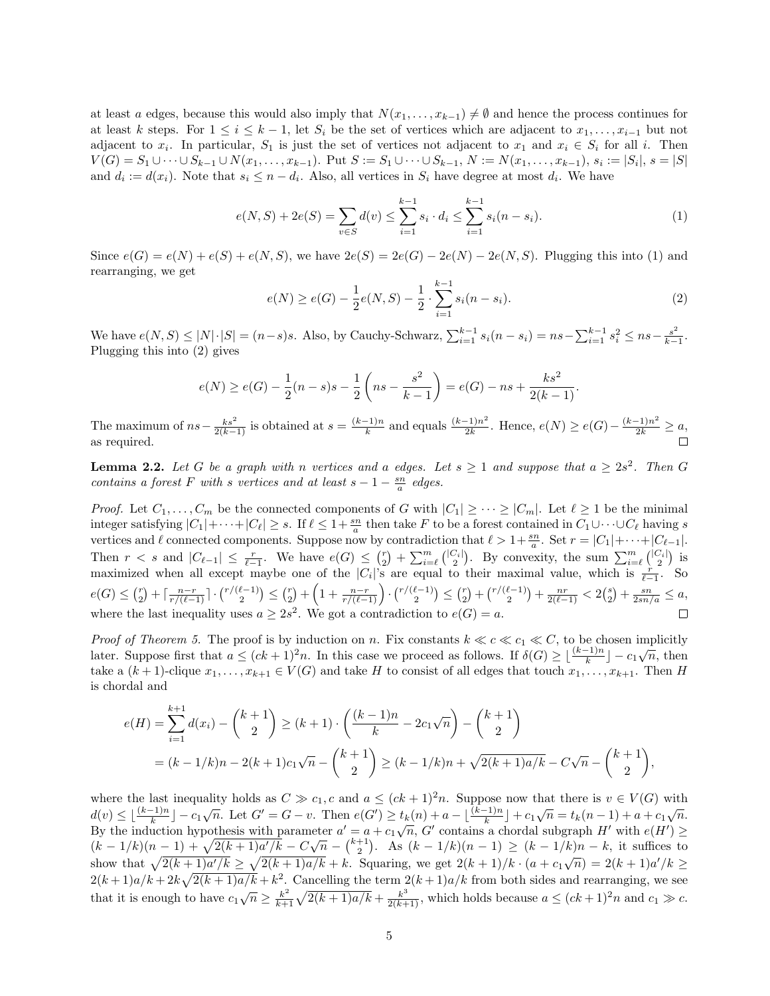at least a edges, because this would also imply that  $N(x_1, \ldots, x_{k-1}) \neq \emptyset$  and hence the process continues for at least k steps. For  $1 \le i \le k-1$ , let  $S_i$  be the set of vertices which are adjacent to  $x_1, \ldots, x_{i-1}$  but not adjacent to  $x_i$ . In particular,  $S_1$  is just the set of vertices not adjacent to  $x_1$  and  $x_i \in S_i$  for all i. Then  $V(G) = S_1 \cup \cdots \cup S_{k-1} \cup N(x_1, \ldots, x_{k-1}).$  Put  $S := S_1 \cup \cdots \cup S_{k-1}, N := N(x_1, \ldots, x_{k-1}), s_i := |S_i|, s = |S|$ and  $d_i := d(x_i)$ . Note that  $s_i \leq n - d_i$ . Also, all vertices in  $S_i$  have degree at most  $d_i$ . We have

$$
e(N, S) + 2e(S) = \sum_{v \in S} d(v) \le \sum_{i=1}^{k-1} s_i \cdot d_i \le \sum_{i=1}^{k-1} s_i (n - s_i). \tag{1}
$$

Since  $e(G) = e(N) + e(S) + e(N, S)$ , we have  $2e(S) = 2e(G) - 2e(N) - 2e(N, S)$ . Plugging this into (1) and rearranging, we get

$$
e(N) \ge e(G) - \frac{1}{2}e(N, S) - \frac{1}{2} \cdot \sum_{i=1}^{k-1} s_i(n - s_i).
$$
 (2)

We have  $e(N, S) \leq |N| \cdot |S| = (n-s)s$ . Also, by Cauchy-Schwarz,  $\sum_{i=1}^{k-1} s_i(n-s_i) = ns - \sum_{i=1}^{k-1} s_i^2 \leq ns - \frac{s^2}{k-1}$  $\frac{s^2}{k-1}$ . Plugging this into (2) gives

$$
e(N) \ge e(G) - \frac{1}{2}(n-s)s - \frac{1}{2}\left(ns - \frac{s^2}{k-1}\right) = e(G) - ns + \frac{ks^2}{2(k-1)}.
$$

The maximum of  $ns - \frac{ks^2}{2(k-1)}$  is obtained at  $s = \frac{(k-1)n}{k}$  $\frac{(k-1)n}{k}$  and equals  $\frac{(k-1)n^2}{2k}$  $\frac{(-1)n^2}{2k}$ . Hence,  $e(N) \ge e(G) - \frac{(k-1)n^2}{2k} \ge a$ , as required.

**Lemma 2.2.** Let G be a graph with n vertices and a edges. Let  $s \geq 1$  and suppose that  $a \geq 2s^2$ . Then G contains a forest F with s vertices and at least  $s - 1 - \frac{sn}{a}$  edges.

*Proof.* Let  $C_1, \ldots, C_m$  be the connected components of G with  $|C_1| \geq \cdots \geq |C_m|$ . Let  $\ell \geq 1$  be the minimal integer satisfying  $|C_1| + \cdots + |C_\ell| \geq s$ . If  $\ell \leq 1+\frac{sn}{a}$  then take F to be a forest contained in  $C_1 \cup \cdots \cup C_\ell$  having s vertices and  $\ell$  connected components. Suppose now by contradiction that  $\ell > 1+\frac{sn}{a}$ . Set  $r = |C_1|+\cdots+|C_{\ell-1}|$ . Then  $r < s$  and  $|C_{\ell-1}| \leq \frac{r}{\ell-1}$ . We have  $e(G) \leq {r \choose 2} + \sum_{i=\ell}^m {|C_i| \choose 2}$ . By convexity, the sum  $\sum_{i=\ell}^m {|C_i| \choose 2}$  is maximized when all except maybe one of the  $|C_i|^s$  are equal to their maximal value, which is  $\frac{r}{\ell-1}$ . So  $e(G) \leq {r \choose 2} + \lceil \frac{n-r}{r/(\ell-1)} \rceil \cdot {r/(\ell-1) \choose 2} \leq {r \choose 2} + \left(1 + \frac{n-r}{r/(\ell-1)} \right) \cdot {r/(\ell-1) \choose 2} \leq {r \choose 2} + {r/(\ell-1) \choose 2} + \frac{nr}{2(\ell-1)} < 2{s \choose 2} + \frac{sn}{2sn/a} \leq a,$ where the last inequality uses  $a \geq 2s^2$ . We got a contradiction to  $e(G) = a$ .

*Proof of Theorem 5.* The proof is by induction on n. Fix constants  $k \ll c \ll c_1 \ll C$ , to be chosen implicitly later. Suppose first that  $a \leq (ck + 1)^2 n$ . In this case we proceed as follows. If  $\delta(G) \geq \lfloor \frac{(k-1)n}{k} \rfloor - c_1 \sqrt{n}$ , then take a  $(k+1)$ -clique  $x_1, \ldots, x_{k+1} \in V(G)$  and take H to consist of all edges that touch  $x_1, \ldots, x_{k+1}$ . Then H is chordal and

$$
e(H) = \sum_{i=1}^{k+1} d(x_i) - {k+1 \choose 2} \ge (k+1) \cdot \left(\frac{(k-1)n}{k} - 2c_1\sqrt{n}\right) - {k+1 \choose 2}
$$
  
=  $(k-1/k)n - 2(k+1)c_1\sqrt{n} - {k+1 \choose 2} \ge (k-1/k)n + \sqrt{2(k+1)a/k} - C\sqrt{n} - {k+1 \choose 2},$ 

where the last inequality holds as  $C \gg c_1, c$  and  $a \leq (ck+1)^2n$ . Suppose now that there is  $v \in V(G)$  with where the neutrality holds as  $\epsilon \gg \epsilon_1$ ,  $\epsilon$  and  $a \leq (\epsilon n + 1)$  n. Suppose now that there is  $\epsilon \in V(G)$  when<br>  $d(v) \leq \lfloor \frac{(k-1)n}{k} \rfloor - c_1 \sqrt{n}$ . Let  $G' = G - v$ . Then  $e(G') \geq t_k(n) + a - \lfloor \frac{(k-1)n}{k} \rfloor + c_1 \sqrt{n} = t_k(n-1) + a + c_1 \sqrt{n}$ .  $\mu(v) \leq \lfloor \frac{-(n-1)(n-1)}{k} \rfloor - c_1 \sqrt{n}$ . Let  $G - G - v$ . Then  $e(G) \geq c_k(n) + a - \lfloor \frac{(n-1)(n-1)}{k} \rfloor + c_1 \sqrt{n} - c_k(n-1) + a + c_1 \sqrt{n}$ .<br>By the induction hypothesis with parameter  $a' = a + c_1 \sqrt{n}$ , G' contains a chordal subgraph H' with  $e(H$ By the induction hypothesis with parameter  $a = a + c_1 \sqrt{n}$ ,  $\sigma$  contains a chordal subgraph  $H$  with  $e(H) \ge (k - 1/k)(n - 1) + \sqrt{2(k + 1)a'/k} - C\sqrt{n} - {k+1 \choose 2}$ . As  $(k - 1/k)(n - 1) \ge (k - 1/k)n - k$ , it suffices to show that  $\sqrt{2(k+1)a'/k} \ge \sqrt{2(k+1)a/k} + k$ . Squaring, we get  $2(k+1)/k \cdot (a + c_1\sqrt{n}) = 2(k+1)a'/k \ge$  $2(k+1)a/k + 2k\sqrt{2(k+1)a/k} + k^2$ . Cancelling the term  $2(k+1)a/k$  from both sides and rearranging, we see that it is enough to have  $c_1\sqrt{n} \geq \frac{k^2}{k+1}$  $\frac{k^2}{k+1}\sqrt{2(k+1)a/k} + \frac{k^3}{2(k+1)}$ , which holds because  $a \leq (ck+1)^2n$  and  $c_1 \gg c$ .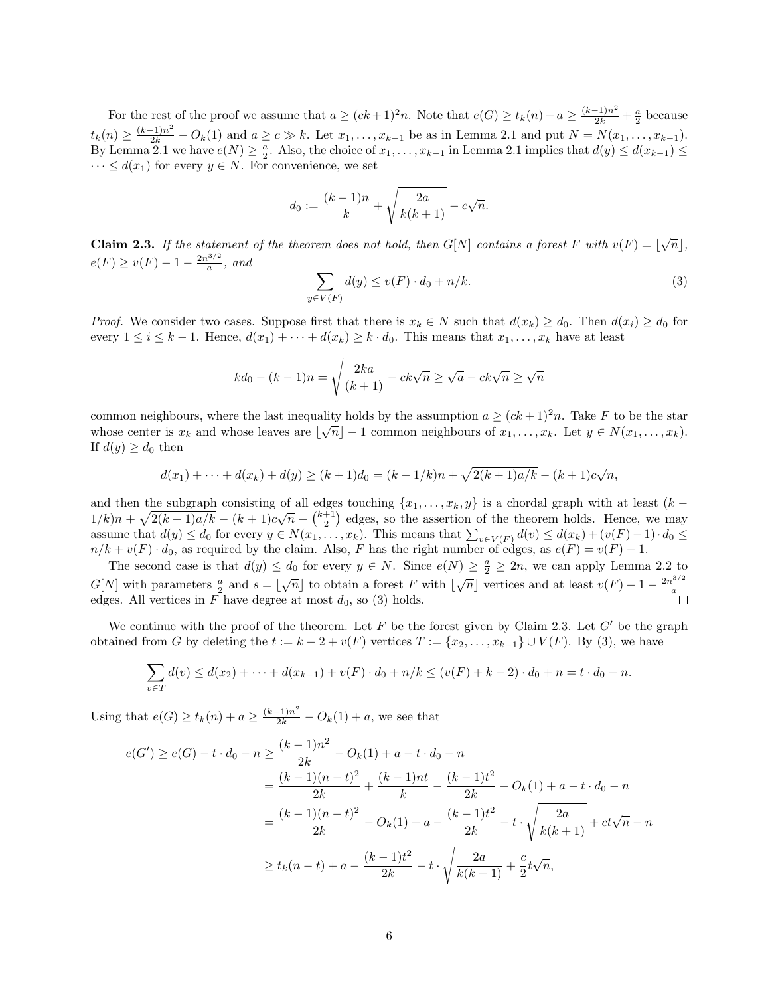For the rest of the proof we assume that  $a \ge (ck+1)^2n$ . Note that  $e(G) \ge t_k(n) + a \ge \frac{(k-1)n^2}{2k} + \frac{a}{2}$  because  $t_k(n) \geq \frac{(k-1)n^2}{2k} - O_k(1)$  and  $a \geq c \gg k$ . Let  $x_1, \ldots, x_{k-1}$  be as in Lemma 2.1 and put  $N = N(x_1, \ldots, x_{k-1})$ . By Lemma 2.1 we have  $e(N) \geq \frac{a}{2}$ . Also, the choice of  $x_1, \ldots, x_{k-1}$  in Lemma 2.1 implies that  $d(y) \leq d(x_{k-1}) \leq$  $\cdots \leq d(x_1)$  for every  $y \in N$ . For convenience, we set

$$
d_0 := \frac{(k-1)n}{k} + \sqrt{\frac{2a}{k(k+1)}} - c\sqrt{n}.
$$

**Claim 2.3.** If the statement of the theorem does not hold, then  $G[N]$  contains a forest F with  $v(F) = \lfloor \sqrt{n} \rfloor$ ,  $e(F) \ge v(F) - 1 - \frac{2n^{3/2}}{a}$  $\frac{a^{3/2}}{a}$ , and

$$
\sum_{y \in V(F)} d(y) \le v(F) \cdot d_0 + n/k. \tag{3}
$$

*Proof.* We consider two cases. Suppose first that there is  $x_k \in N$  such that  $d(x_k) \geq d_0$ . Then  $d(x_i) \geq d_0$  for every  $1 \leq i \leq k-1$ . Hence,  $d(x_1) + \cdots + d(x_k) \geq k \cdot d_0$ . This means that  $x_1, \ldots, x_k$  have at least

$$
kd_0 - (k-1)n = \sqrt{\frac{2ka}{(k+1)}} - ck\sqrt{n} \ge \sqrt{a} - ck\sqrt{n} \ge \sqrt{n}
$$

common neighbours, where the last inequality holds by the assumption  $a \geq (ck+1)^2n$ . Take F to be the star whose center is  $x_k$  and whose leaves are  $\lfloor \sqrt{n} \rfloor - 1$  common neighbours of  $x_1, \ldots, x_k$ . Let  $y \in N(x_1, \ldots, x_k)$ . If  $d(y) \geq d_0$  then

$$
d(x_1) + \dots + d(x_k) + d(y) \ge (k+1)d_0 = (k-1/k)n + \sqrt{2(k+1)a/k} - (k+1)c\sqrt{n},
$$

and then the subgraph consisting of all edges touching  $\{x_1, \ldots, x_k, y\}$  is a chordal graph with at least  $(k-1, \ldots, \frac{1}{2})$  $1/k$ ) $n + \sqrt{2(k+1)a/k} - (k+1)c\sqrt{n} - {k+1 \choose 2}$  edges, so the assertion of the theorem holds. Hence, we may assume that  $d(y) \leq d_0$  for every  $y \in N(x_1, \ldots, x_k)$ . This means that  $\sum_{v \in V(F)} d(v) \leq d(x_k) + (v(F) - 1) \cdot d_0 \leq$  $n/k + v(F) \cdot d_0$ , as required by the claim. Also, F has the right number of edges, as  $e(F) = v(F) - 1$ .

The second case is that  $d(y) \leq d_0$  for every  $y \in N$ . Since  $e(N) \geq \frac{a}{2} \geq 2n$ , we can apply Lemma 2.2 to  $G[N]$  with parameters  $\frac{a}{2}$  and  $s = \lfloor \sqrt{n} \rfloor$  to obtain a forest F with  $\lfloor \sqrt{n} \rfloor$  vertices and at least  $v(F) - 1 - \frac{2n^{3/2}}{a}$ a edges. All vertices in F have degree at most  $d_0$ , so (3) holds.

We continue with the proof of the theorem. Let F be the forest given by Claim 2.3. Let  $G'$  be the graph obtained from G by deleting the  $t := k - 2 + v(F)$  vertices  $T := \{x_2, \ldots, x_{k-1}\} \cup V(F)$ . By (3), we have

$$
\sum_{v \in T} d(v) \le d(x_2) + \dots + d(x_{k-1}) + v(F) \cdot d_0 + n/k \le (v(F) + k - 2) \cdot d_0 + n = t \cdot d_0 + n.
$$

Using that  $e(G) \ge t_k(n) + a \ge \frac{(k-1)n^2}{2k} - O_k(1) + a$ , we see that

$$
e(G') \ge e(G) - t \cdot d_0 - n \ge \frac{(k-1)n^2}{2k} - O_k(1) + a - t \cdot d_0 - n
$$
  
=  $\frac{(k-1)(n-t)^2}{2k} + \frac{(k-1)nt}{k} - \frac{(k-1)t^2}{2k} - O_k(1) + a - t \cdot d_0 - n$   
=  $\frac{(k-1)(n-t)^2}{2k} - O_k(1) + a - \frac{(k-1)t^2}{2k} - t \cdot \sqrt{\frac{2a}{k(k+1)}} + ct\sqrt{n} - n$   
 $\ge t_k(n-t) + a - \frac{(k-1)t^2}{2k} - t \cdot \sqrt{\frac{2a}{k(k+1)}} + \frac{c}{2}t\sqrt{n},$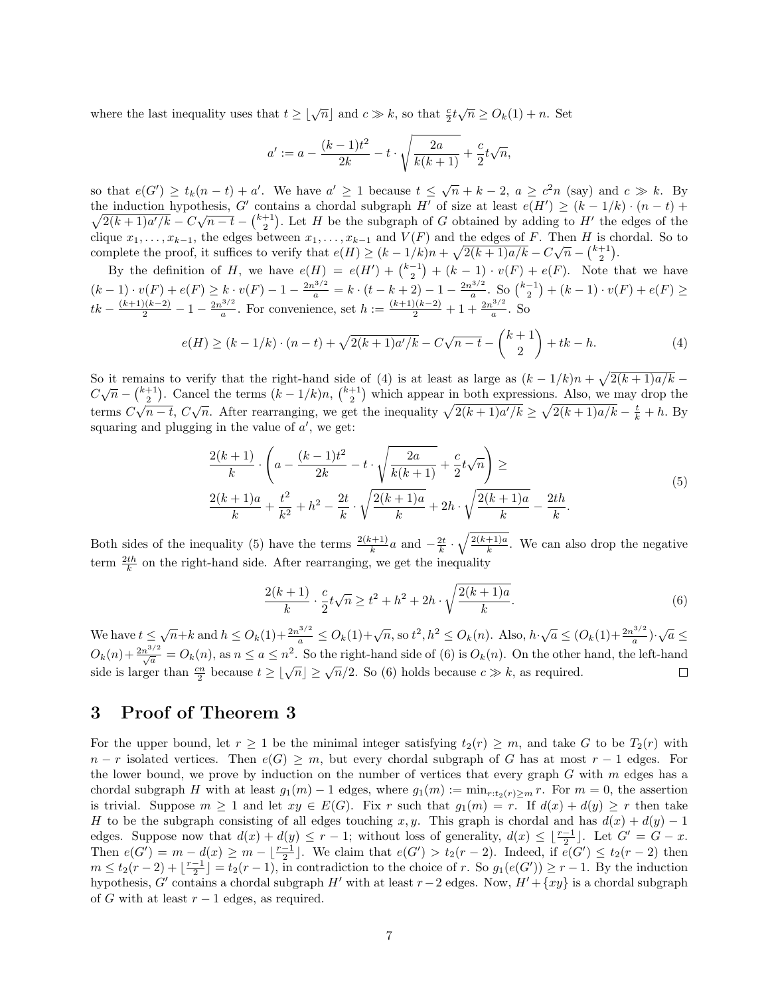where the last inequality uses that  $t \geq \lfloor \sqrt{n} \rfloor$  and  $c \gg k$ , so that  $\frac{c}{2} t \sqrt{n} \geq O_k(1) + n$ . Set

$$
a' := a - \frac{(k-1)t^2}{2k} - t \cdot \sqrt{\frac{2a}{k(k+1)}} + \frac{c}{2}t\sqrt{n},
$$

so that  $e(G') \ge t_k(n-t) + a'$ . We have  $a' \ge 1$  because  $t \le \sqrt{n} + k - 2$ ,  $a \ge c^2 n$  (say) and  $c \gg k$ . By the induction hypothesis,  $G'$  contains a chordal subgraph  $H'$  of size at least  $e(H')$  $\sqrt{}$  $) \geq (k-1/k) \cdot (n-t) +$ <u>e mauction</u> hypothesis, G contains a chordal subgraph  $H$  of size at least  $e(H) \ge (k-1/k) \cdot (n-k) + 2(k+1)a'/k - C\sqrt{n-t} - {k+1 \choose 2}$ . Let H be the subgraph of G obtained by adding to H' the edges of the clique  $x_1, \ldots, x_{k-1}$ , the edges between  $x_1, \ldots, x_{k-1}$  and  $V(F)$  and the edges of F. Then H is chordal. So to complete the proof, it suffices to verify that  $e(H) \geq (k-1/k)n + \sqrt{2(k+1)a/k} - C\sqrt{n} - \binom{k+1}{2}$ .

By the definition of H, we have  $e(H) = e(H') + {k-1 \choose 2} + (k-1) \cdot v(F) + e(F)$ . Note that we have  $(k-1)\cdot v(F) + e(F) \ge k \cdot v(F) - 1 - \frac{2n^{3/2}}{a} = k \cdot (t - k + 2) - 1 - \frac{2n^{3/2}}{a}$  $\frac{e^{3/2}}{a}$ . So  $\binom{k-1}{2} + (k-1) \cdot v(F) + e(F) \ge$  $tk - \frac{(k+1)(k-2)}{2} - 1 - \frac{2n^{3/2}}{a}$  $\frac{a^{3/2}}{a}$ . For convenience, set  $h := \frac{(k+1)(k-2)}{2} + 1 + \frac{2n^{3/2}}{a}$  $rac{e^{3/2}}{a}$ . So

$$
e(H) \ge (k - 1/k) \cdot (n - t) + \sqrt{2(k + 1)a'/k} - C\sqrt{n - t} - \binom{k + 1}{2} + tk - h.
$$
 (4)

So it remains to verify that the right-hand side of (4) is at least as large as  $(k-1/k)n + \sqrt{2(k+1)a/k}$ So it femallis to verly that the right-hand side of (4) is at least as large as  $(k - 1/k)n + \sqrt{2(k + 1)}u/k =$ <br>  $C\sqrt{n} - \left(\frac{k+1}{2}\right)$ . Cancel the terms  $(k - 1/k)n$ ,  $\left(\frac{k+1}{2}\right)$  which appear in both expressions. Also, we may drop th terms  $C\sqrt{n-t}$ ,  $C\sqrt{n}$ . After rearranging, we get the inequality  $\sqrt{2(k+1)a/k} \ge \sqrt{2(k+1)a/k} - \frac{t}{k} + h$ . By squaring and plugging in the value of  $a'$ , we get:

$$
\frac{2(k+1)}{k} \cdot \left( a - \frac{(k-1)t^2}{2k} - t \cdot \sqrt{\frac{2a}{k(k+1)}} + \frac{c}{2}t\sqrt{n} \right) \ge
$$
\n
$$
\frac{2(k+1)a}{k} + \frac{t^2}{k^2} + h^2 - \frac{2t}{k} \cdot \sqrt{\frac{2(k+1)a}{k}} + 2h \cdot \sqrt{\frac{2(k+1)a}{k}} - \frac{2th}{k}.
$$
\n(5)

Both sides of the inequality (5) have the terms  $\frac{2(k+1)}{k}a$  and  $-\frac{2t}{k} \cdot \sqrt{\frac{2(k+1)a}{k}}$  $\frac{+1}{k}$ . We can also drop the negative term  $\frac{2th}{k}$  on the right-hand side. After rearranging, we get the inequality

$$
\frac{2(k+1)}{k} \cdot \frac{c}{2}t\sqrt{n} \ge t^2 + h^2 + 2h \cdot \sqrt{\frac{2(k+1)a}{k}}.
$$
 (6)

We have  $t \leq \sqrt{n} + k$  and  $h \leq O_k(1) + \frac{2n^{3/2}}{a} \leq O_k(1) + \sqrt{n}$ , so  $t^2, h^2 \leq O_k(n)$ . Also,  $h \cdot \sqrt{a} \leq (O_k(1) + \frac{2n^{3/2}}{a})$  $\frac{a^{3/2}}{a}$ ) $\cdot \sqrt{a} \leq$  $O_k(n) + \frac{2n^{3/2}}{\sqrt{a}} = O_k(n)$ , as  $n \le a \le n^2$ . So the right-hand side of (6) is  $O_k(n)$ . On the other hand, the left-hand side is larger than  $\frac{cn}{2}$  because  $t \geq \lfloor \sqrt{n} \rfloor \geq \sqrt{n}/2$ . So (6) holds because  $c \gg k$ , as required.  $\Box$ 

# 3 Proof of Theorem 3

For the upper bound, let  $r \geq 1$  be the minimal integer satisfying  $t_2(r) \geq m$ , and take G to be  $T_2(r)$  with  $n - r$  isolated vertices. Then  $e(G) \geq m$ , but every chordal subgraph of G has at most  $r - 1$  edges. For the lower bound, we prove by induction on the number of vertices that every graph  $G$  with  $m$  edges has a chordal subgraph H with at least  $g_1(m) - 1$  edges, where  $g_1(m) := \min_{r:t_2(r) \ge m} r$ . For  $m = 0$ , the assertion is trivial. Suppose  $m \ge 1$  and let  $xy \in E(G)$ . Fix r such that  $g_1(m) = r$ . If  $d(x) + d(y) \ge r$  then take H to be the subgraph consisting of all edges touching x, y. This graph is chordal and has  $d(x) + d(y) - 1$ edges. Suppose now that  $d(x) + d(y) \leq r - 1$ ; without loss of generality,  $d(x) \leq \lfloor \frac{r-1}{2} \rfloor$ . Let  $G' = G - x$ . Then  $e(G') = m - d(x) \ge m - \lfloor \frac{r-1}{2} \rfloor$ . We claim that  $e(G') > t_2(r-2)$ . Indeed, if  $e(G') \le t_2(r-2)$  then  $m \leq t_2(r-2) + \lfloor \frac{r-1}{2} \rfloor = t_2(r-1)$ , in contradiction to the choice of r. So  $g_1(e(G')) \geq r-1$ . By the induction hypothesis, G' contains a chordal subgraph H' with at least  $r-2$  edges. Now,  $H' + \{xy\}$  is a chordal subgraph of G with at least  $r - 1$  edges, as required.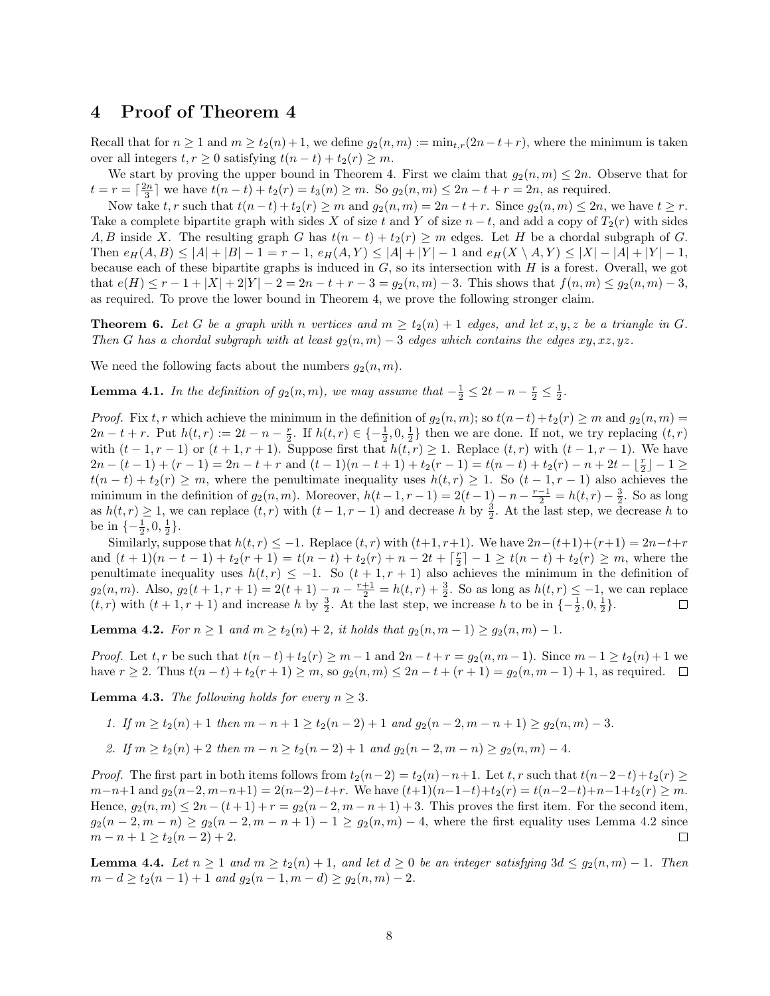## 4 Proof of Theorem 4

Recall that for  $n \geq 1$  and  $m \geq t_2(n) + 1$ , we define  $g_2(n,m) := \min_{t,r}(2n-t+r)$ , where the minimum is taken over all integers  $t, r \geq 0$  satisfying  $t(n-t) + t_2(r) \geq m$ .

We start by proving the upper bound in Theorem 4. First we claim that  $g_2(n,m) \leq 2n$ . Observe that for  $t = r = \lceil \frac{2n}{3} \rceil$  we have  $t(n - t) + t_2(r) = t_3(n) \ge m$ . So  $g_2(n, m) \le 2n - t + r = 2n$ , as required.

Now take t, r such that  $t(n-t)+t_2(r) \geq m$  and  $g_2(n,m) = 2n-t+r$ . Since  $g_2(n,m) \leq 2n$ , we have  $t \geq r$ . Take a complete bipartite graph with sides X of size t and Y of size  $n - t$ , and add a copy of  $T_2(r)$  with sides A, B inside X. The resulting graph G has  $t(n-t) + t_2(r) \geq m$  edges. Let H be a chordal subgraph of G. Then  $e_H(A, B) \leq |A| + |B| - 1 = r - 1$ ,  $e_H(A, Y) \leq |A| + |Y| - 1$  and  $e_H(X \setminus A, Y) \leq |X| - |A| + |Y| - 1$ , because each of these bipartite graphs is induced in  $G$ , so its intersection with  $H$  is a forest. Overall, we got that  $e(H) \le r - 1 + |X| + 2|Y| - 2 = 2n - t + r - 3 = g_2(n, m) - 3$ . This shows that  $f(n, m) \le g_2(n, m) - 3$ , as required. To prove the lower bound in Theorem 4, we prove the following stronger claim.

**Theorem 6.** Let G be a graph with n vertices and  $m \ge t_2(n) + 1$  edges, and let x, y, z be a triangle in G. Then G has a chordal subgraph with at least  $g_2(n,m) - 3$  edges which contains the edges  $xy, xz, yz$ .

We need the following facts about the numbers  $g_2(n, m)$ .

**Lemma 4.1.** In the definition of  $g_2(n,m)$ , we may assume that  $-\frac{1}{2} \leq 2t - n - \frac{r}{2} \leq \frac{1}{2}$ .

*Proof.* Fix t, r which achieve the minimum in the definition of  $g_2(n,m)$ ; so  $t(n-t)+t_2(r) \geq m$  and  $g_2(n,m) =$  $2n-t+r$ . Put  $h(t,r) := 2t - n - \frac{r}{2}$ . If  $h(t,r) \in \{-\frac{1}{2}, 0, \frac{1}{2}\}$  then we are done. If not, we try replacing  $(t,r)$ with  $(t-1, r-1)$  or  $(t+1, r+1)$ . Suppose first that  $h(t, r) \geq 1$ . Replace  $(t, r)$  with  $(t-1, r-1)$ . We have  $2n - (t - 1) + (r - 1) = 2n - t + r$  and  $(t - 1)(n - t + 1) + t_2(r - 1) = t(n - t) + t_2(r) - n + 2t - \lfloor \frac{r}{2} \rfloor - 1 \ge$  $t(n-t) + t_2(r) \geq m$ , where the penultimate inequality uses  $h(t,r) \geq 1$ . So  $(t-1,r-1)$  also achieves the minimum in the definition of  $g_2(n,m)$ . Moreover,  $h(t-1,r-1) = 2(t-1) - n - \frac{r-1}{2} = h(t,r) - \frac{3}{2}$ . So as long as  $h(t,r) \geq 1$ , we can replace  $(t, r)$  with  $(t-1, r-1)$  and decrease h by  $\frac{3}{2}$ . At the last step, we decrease h to be in  $\{-\frac{1}{2}, 0, \frac{1}{2}\}.$ 

Similarly, suppose that  $h(t, r) \leq -1$ . Replace  $(t, r)$  with  $(t+1, r+1)$ . We have  $2n-(t+1)+(r+1)=2n-t+r$ and  $(t + 1)(n - t - 1) + t_2(r + 1) = t(n - t) + t_2(r) + n - 2t + \lceil \frac{r}{2} \rceil - 1 \ge t(n - t) + t_2(r) \ge m$ , where the penultimate inequality uses  $h(t, r) \leq -1$ . So  $(t + 1, r + 1)$  also achieves the minimum in the definition of  $g_2(n,m)$ . Also,  $g_2(t+1,r+1) = 2(t+1) - n - \frac{r+1}{2} = h(t,r) + \frac{3}{2}$ . So as long as  $h(t,r) \leq -1$ , we can replace  $(t, r)$  with  $(t + 1, r + 1)$  and increase h by  $\frac{3}{2}$ . At the last step, we increase h to be in  $\{-\frac{1}{2}, 0, \frac{1}{2}\}.$  $\Box$ 

**Lemma 4.2.** For  $n \ge 1$  and  $m \ge t_2(n) + 2$ , it holds that  $g_2(n, m - 1) \ge g_2(n, m) - 1$ .

*Proof.* Let  $t, r$  be such that  $t(n-t) + t_2(r) \ge m-1$  and  $2n-t+r = g_2(n, m-1)$ . Since  $m-1 \ge t_2(n)+1$  we have  $r \ge 2$ . Thus  $t(n-t) + t_2(r+1) \ge m$ , so  $g_2(n,m) \le 2n - t + (r+1) = g_2(n,m-1) + 1$ , as required.  $\Box$ 

**Lemma 4.3.** The following holds for every  $n \geq 3$ .

1. If 
$$
m \ge t_2(n) + 1
$$
 then  $m - n + 1 \ge t_2(n - 2) + 1$  and  $g_2(n - 2, m - n + 1) \ge g_2(n, m) - 3$ .

2. If 
$$
m \ge t_2(n) + 2
$$
 then  $m - n \ge t_2(n - 2) + 1$  and  $g_2(n - 2, m - n) \ge g_2(n, m) - 4$ .

*Proof.* The first part in both items follows from  $t_2(n-2) = t_2(n)-n+1$ . Let  $t, r$  such that  $t(n-2-t)+t_2(r) \ge$  $m-n+1$  and  $g_2(n-2, m-n+1) = 2(n-2)-t+r$ . We have  $(t+1)(n-1-t)+t_2(r) = t(n-2-t)+n-1+t_2(r) \ge m$ . Hence,  $g_2(n,m) \leq 2n - (t+1) + r = g_2(n-2, m-n+1) + 3$ . This proves the first item. For the second item,  $g_2(n-2, m-n) \ge g_2(n-2, m-n+1) - 1 \ge g_2(n,m) - 4$ , where the first equality uses Lemma 4.2 since  $m-n+1 \geq t_2(n-2)+2.$  $\Box$ 

**Lemma 4.4.** Let  $n \geq 1$  and  $m \geq t_2(n) + 1$ , and let  $d \geq 0$  be an integer satisfying  $3d \leq g_2(n,m) - 1$ . Then  $m - d \ge t_2(n - 1) + 1$  and  $g_2(n - 1, m - d) \ge g_2(n, m) - 2$ .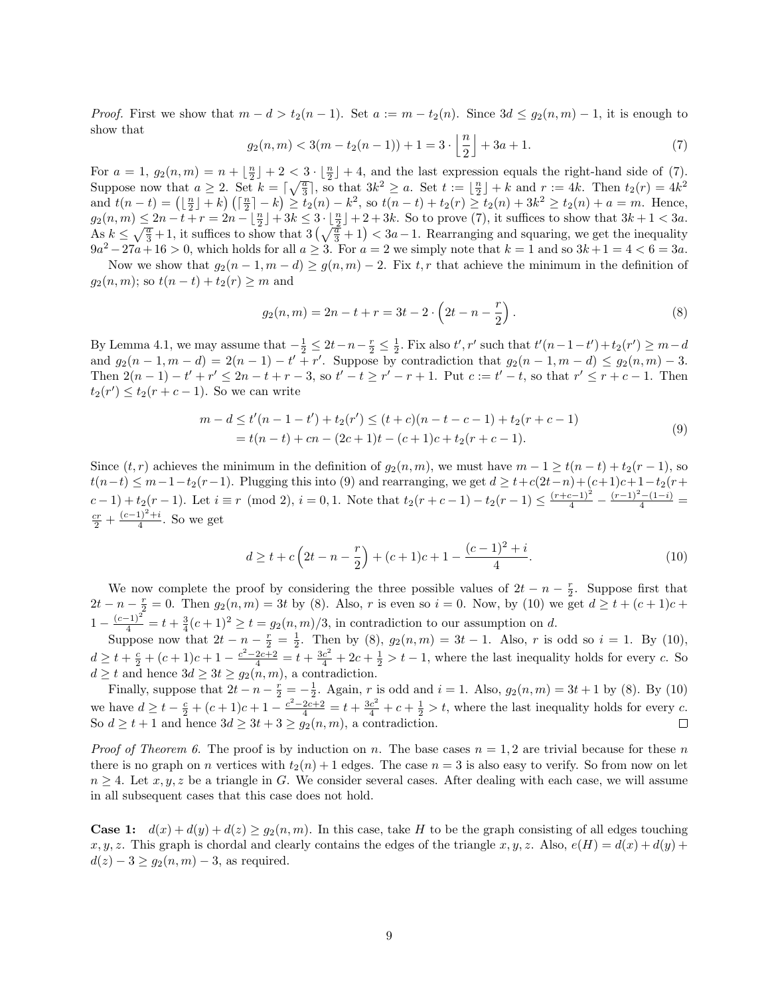*Proof.* First we show that  $m - d > t_2(n - 1)$ . Set  $a := m - t_2(n)$ . Since  $3d \leq g_2(n, m) - 1$ , it is enough to show that

$$
g_2(n,m) < 3(m - t_2(n-1)) + 1 = 3 \cdot \left\lfloor \frac{n}{2} \right\rfloor + 3a + 1. \tag{7}
$$

For  $a = 1$ ,  $g_2(n,m) = n + \lfloor \frac{n}{2} \rfloor + 2 < 3 \cdot \lfloor \frac{n}{2} \rfloor + 4$ , and the last expression equals the right-hand side of (7). Suppose now that  $a \geq 2$ . Set  $k = \lceil \sqrt{\frac{a}{3}} \rceil$ , so that  $3k^2 \geq a$ . Set  $t := \lfloor \frac{n}{2} \rfloor + k$  and  $r := 4k$ . Then  $t_2(r) = 4k^2$ and  $t(n-t) = (\lfloor \frac{n}{2} \rfloor + k) (\lceil \frac{n}{2} \rceil - k) \ge t_2(n) - k^2$ , so  $t(n-t) + t_2(r) \ge t_2(n) + 3k^2 \ge t_2(n) + a = m$ . Hence,  $g_2(n,m) \leq 2n - t + r = 2n - \lfloor \frac{n}{2} \rfloor + 3k \leq 3 \cdot \lfloor \frac{n}{2} \rfloor + 2 + 3k$ . So to prove (7), it suffices to show that  $3k + 1 < 3a$ .  $\text{As } k \leq \sqrt{\frac{a}{3}} + 1$ , it suffices to show that  $3\left(\sqrt{\frac{a}{3}} + 1\right) < 3a - 1$ . Rearranging and squaring, we get the inequality  $9a^2 - 27a + 16 > 0$ , which holds for all  $a \geq 3$ . For  $a = 2$  we simply note that  $k = 1$  and so  $3k + 1 = 4 < 6 = 3a$ .

Now we show that  $g_2(n-1, m-d) \ge g(n,m) - 2$ . Fix t, r that achieve the minimum in the definition of  $g_2(n, m)$ ; so  $t(n - t) + t_2(r) \geq m$  and

$$
g_2(n,m) = 2n - t + r = 3t - 2 \cdot \left(2t - n - \frac{r}{2}\right).
$$
\n(8)

By Lemma 4.1, we may assume that  $-\frac{1}{2} \leq 2t-n-\frac{r}{2} \leq \frac{1}{2}$ . Fix also  $t', r'$  such that  $t'(n-1-t') + t_2(r') \geq m-d$ and  $g_2(n-1,m-d) = 2(n-1) - t' + r'$ . Suppose by contradiction that  $g_2(n-1,m-d) \le g_2(n,m) - 3$ . Then  $2(n-1) - t' + r' \leq 2n - t + r - 3$ , so  $t' - t \geq r' - r + 1$ . Put  $c := t' - t$ , so that  $r' \leq r + c - 1$ . Then  $t_2(r') \leq t_2(r+c-1)$ . So we can write

$$
m - d \le t'(n - 1 - t') + t_2(r') \le (t + c)(n - t - c - 1) + t_2(r + c - 1)
$$
  
=  $t(n - t) + cn - (2c + 1)t - (c + 1)c + t_2(r + c - 1).$  (9)

Since  $(t, r)$  achieves the minimum in the definition of  $g_2(n, m)$ , we must have  $m - 1 \ge t(n - t) + t_2(r - 1)$ , so  $t(n-t) \leq m-1-t_2(r-1)$ . Plugging this into (9) and rearranging, we get  $d \geq t+c(2t-n)+(c+1)c+1-t_2(r+1)$  $(c-1)+t_2(r-1)$ . Let  $i \equiv r \pmod{2}$ ,  $i = 0, 1$ . Note that  $t_2(r+c-1)-t_2(r-1) \leq \frac{(r+c-1)^2}{4} - \frac{(r-1)^2-(1-i)}{4} =$  $rac{cr}{2} + \frac{(c-1)^2 + i}{4}$  $\frac{1}{4}$ . So we get

$$
d \ge t + c \left( 2t - n - \frac{r}{2} \right) + (c+1)c + 1 - \frac{(c-1)^2 + i}{4}.
$$
 (10)

We now complete the proof by considering the three possible values of  $2t - n - \frac{r}{2}$ . Suppose first that 2t − n −  $\frac{r}{2}$  = 0. Then  $g_2(n,m) = 3t$  by (8). Also, r is even so  $i = 0$ . Now, by (10) we get  $d \ge t + (c + 1)c +$  $1 - \frac{(c-1)^2}{4} = t + \frac{3}{4}(c+1)^2 \ge t = g_2(n,m)/3$ , in contradiction to our assumption on d.

Suppose now that  $2t - n - \frac{r}{2} = \frac{1}{2}$ . Then by (8),  $g_2(n,m) = 3t - 1$ . Also, r is odd so  $i = 1$ . By (10),  $d \geq t + \frac{c}{2} + (c+1)c + 1 - \frac{c^2 - 2c + 2}{4} = t + \frac{3c^2}{4} + 2c + \frac{1}{2} > t - 1$ , where the last inequality holds for every c. So  $d \geq t$  and hence  $3d \geq 3t \geq g_2(n,m)$ , a contradiction.

Finally, suppose that  $2t - n - \frac{r}{2} = -\frac{1}{2}$ . Again, r is odd and  $i = 1$ . Also,  $g_2(n, m) = 3t + 1$  by (8). By (10) we have  $d \geq t - \frac{c}{2} + (c+1)c + 1 - \frac{c^2 - 2c + 2}{4} = t + \frac{3c^2}{4} + c + \frac{1}{2} > t$ , where the last inequality holds for every c. So  $d \ge t + 1$  and hence  $3d \ge 3t + 3 \ge g_2(n,m)$ , a contradiction.

*Proof of Theorem 6.* The proof is by induction on n. The base cases  $n = 1, 2$  are trivial because for these n there is no graph on n vertices with  $t_2(n) + 1$  edges. The case  $n = 3$  is also easy to verify. So from now on let  $n \geq 4$ . Let  $x, y, z$  be a triangle in G. We consider several cases. After dealing with each case, we will assume in all subsequent cases that this case does not hold.

**Case 1:**  $d(x) + d(y) + d(z) \ge g_2(n, m)$ . In this case, take H to be the graph consisting of all edges touching x, y, z. This graph is chordal and clearly contains the edges of the triangle x, y, z. Also,  $e(H) = d(x) + d(y) + d(x)$  $d(z) - 3 \ge g_2(n,m) - 3$ , as required.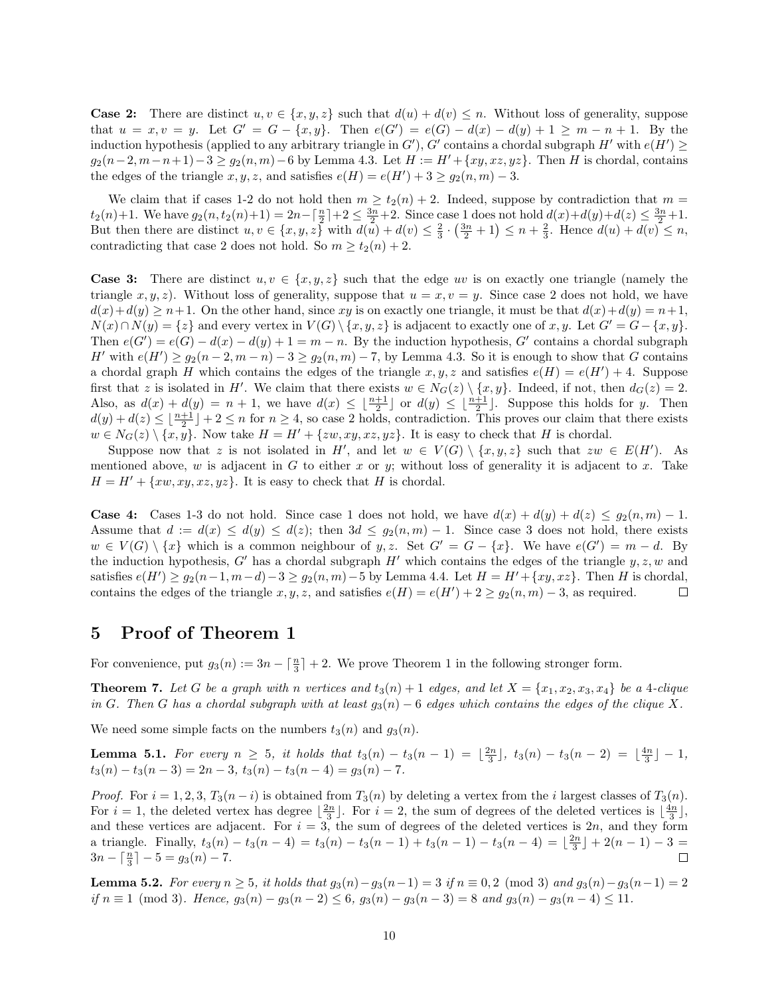**Case 2:** There are distinct  $u, v \in \{x, y, z\}$  such that  $d(u) + d(v) \leq n$ . Without loss of generality, suppose that  $u = x, v = y$ . Let  $G' = G - \{x, y\}$ . Then  $e(G') = e(G) - d(x) - d(y) + 1 \ge m - n + 1$ . By the induction hypothesis (applied to any arbitrary triangle in G'), G' contains a chordal subgraph  $H'$  with  $e(H') \ge$  $g_2(n-2, m-n+1)-3 \geq g_2(n,m)-6$  by Lemma 4.3. Let  $H := H'+\{xy, xz, yz\}$ . Then H is chordal, contains the edges of the triangle  $x, y, z$ , and satisfies  $e(H) = e(H') + 3 \ge g_2(n,m) - 3$ .

We claim that if cases 1-2 do not hold then  $m \ge t_2(n) + 2$ . Indeed, suppose by contradiction that  $m =$  $t_2(n)+1$ . We have  $g_2(n, t_2(n)+1) = 2n - \lceil \frac{n}{2} \rceil + 2 \le \frac{3n}{2} + 2$ . Since case 1 does not hold  $d(x)+d(y)+d(z) \le \frac{3n}{2}+1$ . But then there are distinct  $u, v \in \{x, y, z\}$  with  $d(u) + d(v) \leq \frac{2}{3} \cdot (\frac{3n}{2} + 1) \leq n + \frac{2}{3}$ . Hence  $d(u) + d(v) \leq n$ , contradicting that case 2 does not hold. So  $m \ge t_2(n) + 2$ .

**Case 3:** There are distinct  $u, v \in \{x, y, z\}$  such that the edge uv is on exactly one triangle (namely the triangle  $x, y, z$ ). Without loss of generality, suppose that  $u = x, v = y$ . Since case 2 does not hold, we have  $d(x)+d(y) \geq n+1$ . On the other hand, since xy is on exactly one triangle, it must be that  $d(x)+d(y) = n+1$ ,  $N(x) \cap N(y) = \{z\}$  and every vertex in  $V(G) \setminus \{x, y, z\}$  is adjacent to exactly one of  $x, y$ . Let  $G' = G - \{x, y\}$ . Then  $e(G') = e(G) - d(x) - d(y) + 1 = m - n$ . By the induction hypothesis, G' contains a chordal subgraph H' with  $e(H') \ge g_2(n-2, m-n) - 3 \ge g_2(n,m) - 7$ , by Lemma 4.3. So it is enough to show that G contains a chordal graph H which contains the edges of the triangle  $x, y, z$  and satisfies  $e(H) = e(H') + 4$ . Suppose first that z is isolated in H'. We claim that there exists  $w \in N_G(z) \setminus \{x, y\}$ . Indeed, if not, then  $d_G(z) = 2$ . Also, as  $d(x) + d(y) = n + 1$ , we have  $d(x) \leq \lfloor \frac{n+1}{2} \rfloor$  or  $d(y) \leq \lfloor \frac{n+1}{2} \rfloor$ . Suppose this holds for y. Then  $d(y) + d(z) \leq \lfloor \frac{n+1}{2} \rfloor + 2 \leq n$  for  $n \geq 4$ , so case 2 holds, contradiction. This proves our claim that there exists  $w \in N_G(z) \setminus \{x, y\}.$  Now take  $H = H' + \{zw, xy, xz, yz\}.$  It is easy to check that H is chordal.

Suppose now that z is not isolated in H', and let  $w \in V(G) \setminus \{x, y, z\}$  such that  $zw \in E(H')$ . As mentioned above, w is adjacent in G to either x or y; without loss of generality it is adjacent to x. Take  $H = H' + \{xw, xy, xz, yz\}.$  It is easy to check that H is chordal.

**Case 4:** Cases 1-3 do not hold. Since case 1 does not hold, we have  $d(x) + d(y) + d(z) \leq g_2(n,m) - 1$ . Assume that  $d := d(x) \leq d(y) \leq d(z)$ ; then  $3d \leq g_2(n,m) - 1$ . Since case 3 does not hold, there exists  $w \in V(G) \setminus \{x\}$  which is a common neighbour of y, z. Set  $G' = G - \{x\}$ . We have  $e(G') = m - d$ . By the induction hypothesis, G' has a chordal subgraph H' which contains the edges of the triangle  $y, z, w$  and satisfies  $e(H') \ge g_2(n-1, m-d) - 3 \ge g_2(n, m) - 5$  by Lemma 4.4. Let  $H = H' + \{xy, xz\}$ . Then H is chordal, contains the edges of the triangle  $x, y, z$ , and satisfies  $e(H) = e(H') + 2 \ge g_2(n,m) - 3$ , as required.  $\Box$ 

#### 5 Proof of Theorem 1

For convenience, put  $g_3(n) := 3n - \lceil \frac{n}{3} \rceil + 2$ . We prove Theorem 1 in the following stronger form.

**Theorem 7.** Let G be a graph with n vertices and  $t_3(n) + 1$  edges, and let  $X = \{x_1, x_2, x_3, x_4\}$  be a 4-clique in G. Then G has a chordal subgraph with at least  $g_3(n) - 6$  edges which contains the edges of the clique X.

We need some simple facts on the numbers  $t_3(n)$  and  $g_3(n)$ .

**Lemma 5.1.** For every  $n \geq 5$ , it holds that  $t_3(n) - t_3(n-1) = \lfloor \frac{2n}{3} \rfloor$ ,  $t_3(n) - t_3(n-2) = \lfloor \frac{4n}{3} \rfloor - 1$ ,  $t_3(n) - t_3(n-3) = 2n-3$ ,  $t_3(n) - t_3(n-4) = g_3(n) - 7$ .

*Proof.* For  $i = 1, 2, 3, T_3(n - i)$  is obtained from  $T_3(n)$  by deleting a vertex from the i largest classes of  $T_3(n)$ . For  $i = 1$ , the deleted vertex has degree  $\lfloor \frac{2n}{3} \rfloor$ . For  $i = 2$ , the sum of degrees of the deleted vertices is  $\lfloor \frac{4n}{3} \rfloor$ , and these vertices are adjacent. For  $i = 3$ , the sum of degrees of the deleted vertices is 2n, and they form a triangle. Finally,  $t_3(n) - t_3(n-4) = t_3(n) - t_3(n-1) + t_3(n-1) - t_3(n-4) = \lfloor \frac{2n}{3} \rfloor + 2(n-1) - 3 =$  $3n - \lceil \frac{n}{3} \rceil - 5 = g_3(n) - 7.$  $\Box$ 

**Lemma 5.2.** For every  $n \ge 5$ , it holds that  $g_3(n) - g_3(n-1) = 3$  if  $n \equiv 0, 2 \pmod{3}$  and  $g_3(n) - g_3(n-1) = 2$ if  $n \equiv 1 \pmod{3}$ . Hence,  $g_3(n) - g_3(n-2) \le 6$ ,  $g_3(n) - g_3(n-3) = 8$  and  $g_3(n) - g_3(n-4) \le 11$ .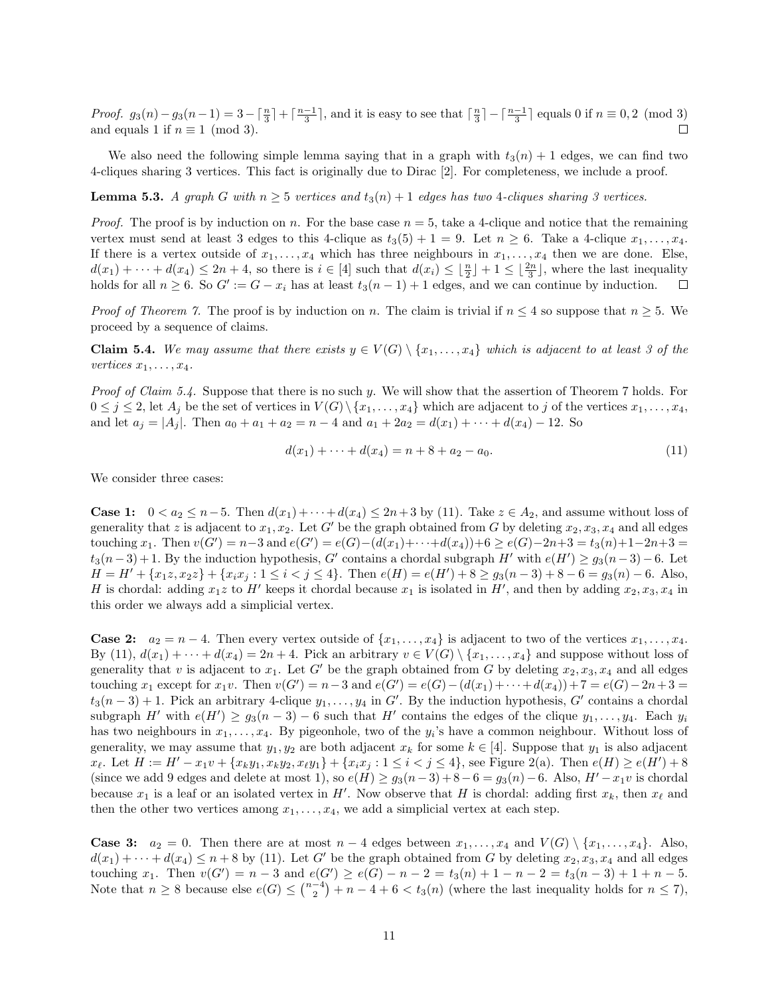Proof.  $g_3(n) - g_3(n-1) = 3 - \lceil \frac{n}{3} \rceil + \lceil \frac{n-1}{3} \rceil$ , and it is easy to see that  $\lceil \frac{n}{3} \rceil - \lceil \frac{n-1}{3} \rceil$  equals 0 if  $n \equiv 0, 2 \pmod{3}$ and equals 1 if  $n \equiv 1 \pmod{3}$ .  $\Box$ 

We also need the following simple lemma saying that in a graph with  $t_3(n) + 1$  edges, we can find two 4-cliques sharing 3 vertices. This fact is originally due to Dirac [2]. For completeness, we include a proof.

**Lemma 5.3.** A graph G with  $n \geq 5$  vertices and  $t_3(n) + 1$  edges has two 4-cliques sharing 3 vertices.

*Proof.* The proof is by induction on n. For the base case  $n = 5$ , take a 4-clique and notice that the remaining vertex must send at least 3 edges to this 4-clique as  $t_3(5) + 1 = 9$ . Let  $n \ge 6$ . Take a 4-clique  $x_1, \ldots, x_4$ . If there is a vertex outside of  $x_1, \ldots, x_4$  which has three neighbours in  $x_1, \ldots, x_4$  then we are done. Else,  $d(x_1) + \cdots + d(x_4) \leq 2n + 4$ , so there is  $i \in [4]$  such that  $d(x_i) \leq \lfloor \frac{n}{2} \rfloor + 1 \leq \lfloor \frac{2n}{3} \rfloor$ , where the last inequality holds for all  $n \geq 6$ . So  $G' := G - x_i$  has at least  $t_3(n-1) + 1$  edges, and we can continue by induction.

*Proof of Theorem 7.* The proof is by induction on n. The claim is trivial if  $n \leq 4$  so suppose that  $n \geq 5$ . We proceed by a sequence of claims.

**Claim 5.4.** We may assume that there exists  $y \in V(G) \setminus \{x_1, \ldots, x_4\}$  which is adjacent to at least 3 of the vertices  $x_1, \ldots, x_4$ .

Proof of Claim 5.4. Suppose that there is no such y. We will show that the assertion of Theorem 7 holds. For  $0 \leq j \leq 2$ , let  $A_j$  be the set of vertices in  $V(G) \setminus \{x_1, \ldots, x_4\}$  which are adjacent to j of the vertices  $x_1, \ldots, x_4$ , and let  $a_j = |A_j|$ . Then  $a_0 + a_1 + a_2 = n - 4$  and  $a_1 + 2a_2 = d(x_1) + \cdots + d(x_4) - 12$ . So

$$
d(x_1) + \dots + d(x_4) = n + 8 + a_2 - a_0. \tag{11}
$$

We consider three cases:

**Case 1:**  $0 < a_2 \leq n-5$ . Then  $d(x_1) + \cdots + d(x_4) \leq 2n+3$  by (11). Take  $z \in A_2$ , and assume without loss of generality that z is adjacent to  $x_1, x_2$ . Let G' be the graph obtained from G by deleting  $x_2, x_3, x_4$  and all edges touching  $x_1$ . Then  $v(G') = n-3$  and  $e(G') = e(G) - (d(x_1) + \cdots + d(x_4)) + 6 \ge e(G) - 2n + 3 = t_3(n) + 1 - 2n + 3 = t_3(n) + 3$  $t_3(n-3)+1$ . By the induction hypothesis, G' contains a chordal subgraph H' with  $e(H') \geq g_3(n-3)-6$ . Let  $H = H' + {x_1 z, x_2 z} + {x_i x_j : 1 \le i < j \le 4}$ . Then  $e(H) = e(H') + 8 \ge g_3(n-3) + 8 - 6 = g_3(n) - 6$ . Also, H is chordal: adding  $x_1z$  to H' keeps it chordal because  $x_1$  is isolated in H', and then by adding  $x_2, x_3, x_4$  in this order we always add a simplicial vertex.

**Case 2:**  $a_2 = n - 4$ . Then every vertex outside of  $\{x_1, \ldots, x_4\}$  is adjacent to two of the vertices  $x_1, \ldots, x_4$ . By (11),  $d(x_1) + \cdots + d(x_4) = 2n + 4$ . Pick an arbitrary  $v \in V(G) \setminus \{x_1, \ldots, x_4\}$  and suppose without loss of generality that v is adjacent to  $x_1$ . Let G' be the graph obtained from G by deleting  $x_2, x_3, x_4$  and all edges touching  $x_1$  except for  $x_1v$ . Then  $v(G') = n-3$  and  $e(G') = e(G) - (d(x_1) + \cdots + d(x_4)) + 7 = e(G) - 2n + 3 =$  $t_3(n-3)+1$ . Pick an arbitrary 4-clique  $y_1, \ldots, y_4$  in G'. By the induction hypothesis, G' contains a chordal subgraph H' with  $e(H') \ge g_3(n-3) - 6$  such that H' contains the edges of the clique  $y_1, \ldots, y_4$ . Each  $y_i$ has two neighbours in  $x_1, \ldots, x_4$ . By pigeonhole, two of the  $y_i$ 's have a common neighbour. Without loss of generality, we may assume that  $y_1, y_2$  are both adjacent  $x_k$  for some  $k \in [4]$ . Suppose that  $y_1$  is also adjacent  $x_{\ell}$ . Let  $H := H' - x_1v + \{x_ky_1, x_ky_2, x_{\ell}y_1\} + \{x_ix_j : 1 \leq i < j \leq 4\}$ , see Figure 2(a). Then  $e(H) \geq e(H') + 8$ (since we add 9 edges and delete at most 1), so  $e(H) \geq g_3(n-3) + 8-6 = g_3(n) - 6$ . Also,  $H'-x_1v$  is chordal because  $x_1$  is a leaf or an isolated vertex in H'. Now observe that H is chordal: adding first  $x_k$ , then  $x_\ell$  and then the other two vertices among  $x_1, \ldots, x_4$ , we add a simplicial vertex at each step.

**Case 3:**  $a_2 = 0$ . Then there are at most  $n - 4$  edges between  $x_1, \ldots, x_4$  and  $V(G) \setminus \{x_1, \ldots, x_4\}$ . Also,  $d(x_1) + \cdots + d(x_4) \leq n+8$  by (11). Let G' be the graph obtained from G by deleting  $x_2, x_3, x_4$  and all edges touching  $x_1$ . Then  $v(G') = n - 3$  and  $e(G') \ge e(G) - n - 2 = t_3(n) + 1 - n - 2 = t_3(n - 3) + 1 + n - 5$ . Note that  $n \geq 8$  because else  $e(G) \leq {n-4 \choose 2} + n-4+6 < t_3(n)$  (where the last inequality holds for  $n \leq 7$ ),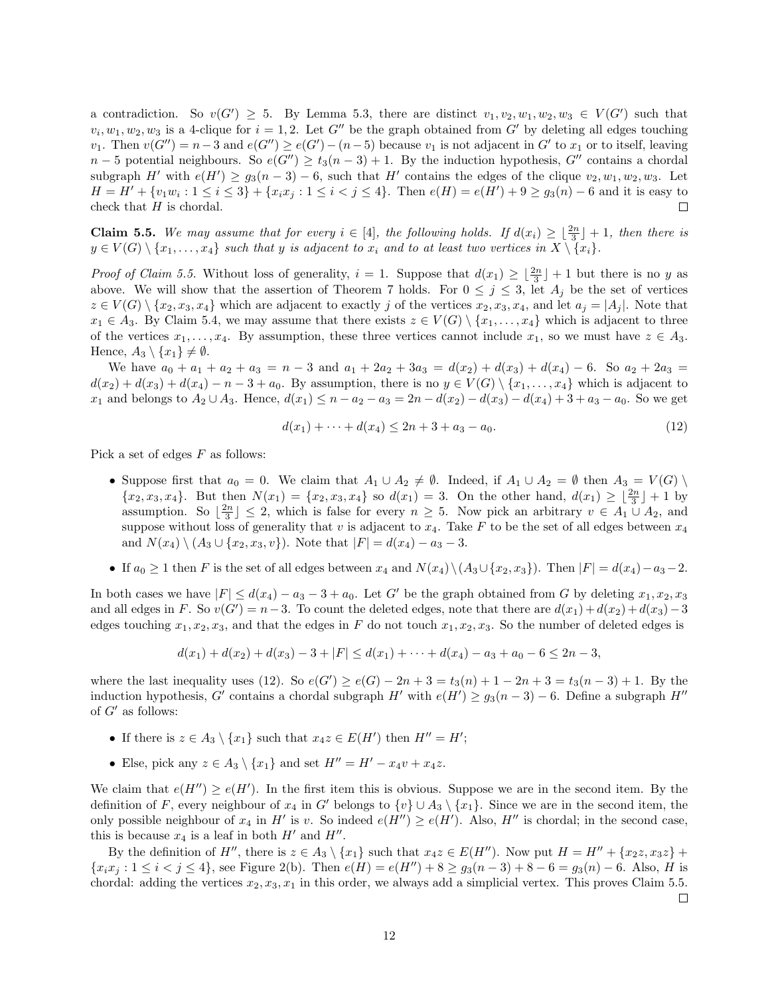a contradiction. So  $v(G') \geq 5$ . By Lemma 5.3, there are distinct  $v_1, v_2, w_1, w_2, w_3 \in V(G')$  such that  $v_i, w_1, w_2, w_3$  is a 4-clique for  $i = 1, 2$ . Let G'' be the graph obtained from G' by deleting all edges touching v<sub>1</sub>. Then  $v(G'') = n-3$  and  $e(G'') \ge e(G') - (n-5)$  because v<sub>1</sub> is not adjacent in G' to  $x_1$  or to itself, leaving  $n-5$  potential neighbours. So  $e(G'') \ge t_3(n-3)+1$ . By the induction hypothesis, G'' contains a chordal subgraph H' with  $e(H') \ge g_3(n-3) - 6$ , such that H' contains the edges of the clique  $v_2, w_1, w_2, w_3$ . Let  $H = H' + \{v_1w_i : 1 \leq i \leq 3\} + \{x_ix_j : 1 \leq i < j \leq 4\}.$  Then  $e(H) = e(H') + 9 \geq g_3(n) - 6$  and it is easy to check that  $H$  is chordal.  $\Box$ 

**Claim 5.5.** We may assume that for every  $i \in [4]$ , the following holds. If  $d(x_i) \geq \lfloor \frac{2n}{3} \rfloor + 1$ , then there is  $y \in V(G) \setminus \{x_1, \ldots, x_4\}$  such that y is adjacent to  $x_i$  and to at least two vertices in  $X \setminus \{x_i\}$ .

*Proof of Claim 5.5.* Without loss of generality,  $i = 1$ . Suppose that  $d(x_1) \geq \lfloor \frac{2n}{3} \rfloor + 1$  but there is no y as above. We will show that the assertion of Theorem 7 holds. For  $0 \leq j \leq 3$ , let  $A_j$  be the set of vertices  $z \in V(G) \setminus \{x_2, x_3, x_4\}$  which are adjacent to exactly j of the vertices  $x_2, x_3, x_4$ , and let  $a_j = |A_j|$ . Note that  $x_1 \in A_3$ . By Claim 5.4, we may assume that there exists  $z \in V(G) \setminus \{x_1, \ldots, x_4\}$  which is adjacent to three of the vertices  $x_1, \ldots, x_4$ . By assumption, these three vertices cannot include  $x_1$ , so we must have  $z \in A_3$ . Hence,  $A_3 \setminus \{x_1\} \neq \emptyset$ .

We have  $a_0 + a_1 + a_2 + a_3 = n - 3$  and  $a_1 + 2a_2 + 3a_3 = d(x_2) + d(x_3) + d(x_4) - 6$ . So  $a_2 + 2a_3 =$  $d(x_2) + d(x_3) + d(x_4) - n - 3 + a_0$ . By assumption, there is no  $y \in V(G) \setminus \{x_1, \ldots, x_4\}$  which is adjacent to  $x_1$  and belongs to  $A_2 \cup A_3$ . Hence,  $d(x_1) \leq n - a_2 - a_3 = 2n - d(x_2) - d(x_3) - d(x_4) + 3 + a_3 - a_0$ . So we get

$$
d(x_1) + \dots + d(x_4) \le 2n + 3 + a_3 - a_0. \tag{12}
$$

Pick a set of edges  $F$  as follows:

- Suppose first that  $a_0 = 0$ . We claim that  $A_1 \cup A_2 \neq \emptyset$ . Indeed, if  $A_1 \cup A_2 = \emptyset$  then  $A_3 = V(G) \setminus$  $\{x_2, x_3, x_4\}$ . But then  $N(x_1) = \{x_2, x_3, x_4\}$  so  $d(x_1) = 3$ . On the other hand,  $d(x_1) \geq \lfloor \frac{2n}{3} \rfloor + 1$  by assumption. So  $\lfloor \frac{2n}{3} \rfloor \leq 2$ , which is false for every  $n \geq 5$ . Now pick an arbitrary  $v \in A_1 \cup A_2$ , and suppose without loss of generality that v is adjacent to  $x_4$ . Take F to be the set of all edges between  $x_4$ and  $N(x_4) \setminus (A_3 \cup \{x_2, x_3, v\})$ . Note that  $|F| = d(x_4) - a_3 - 3$ .
- If  $a_0 \geq 1$  then F is the set of all edges between  $x_4$  and  $N(x_4) \setminus (A_3 \cup \{x_2, x_3\})$ . Then  $|F| = d(x_4) a_3 2$ .

In both cases we have  $|F| \leq d(x_4) - a_3 - 3 + a_0$ . Let G' be the graph obtained from G by deleting  $x_1, x_2, x_3$ and all edges in F. So  $v(G') = n-3$ . To count the deleted edges, note that there are  $d(x_1) + d(x_2) + d(x_3) - 3$ edges touching  $x_1, x_2, x_3$ , and that the edges in F do not touch  $x_1, x_2, x_3$ . So the number of deleted edges is

$$
d(x_1) + d(x_2) + d(x_3) - 3 + |F| \le d(x_1) + \cdots + d(x_4) - a_3 + a_0 - 6 \le 2n - 3,
$$

where the last inequality uses (12). So  $e(G') \ge e(G) - 2n + 3 = t_3(n) + 1 - 2n + 3 = t_3(n-3) + 1$ . By the induction hypothesis, G' contains a chordal subgraph  $H'$  with  $e(H') \ge g_3(n-3) - 6$ . Define a subgraph  $H''$ of  $G'$  as follows:

- If there is  $z \in A_3 \setminus \{x_1\}$  such that  $x_4z \in E(H')$  then  $H'' = H'$ ;
- Else, pick any  $z \in A_3 \setminus \{x_1\}$  and set  $H'' = H' x_4v + x_4z$ .

We claim that  $e(H'') \geq e(H')$ . In the first item this is obvious. Suppose we are in the second item. By the definition of F, every neighbour of  $x_4$  in G' belongs to  $\{v\} \cup A_3 \setminus \{x_1\}$ . Since we are in the second item, the only possible neighbour of  $x_4$  in H' is v. So indeed  $e(H'') \ge e(H')$ . Also, H'' is chordal; in the second case, this is because  $x_4$  is a leaf in both  $H'$  and  $H''$ .

By the definition of H'', there is  $z \in A_3 \setminus \{x_1\}$  such that  $x_4z \in E(H'')$ . Now put  $H = H'' + \{x_2z, x_3z\} +$  ${x_ix_j : 1 \le i < j \le 4}$ , see Figure 2(b). Then  $e(H) = e(H'') + 8 \ge g_3(n-3) + 8 - 6 = g_3(n) - 6$ . Also, H is chordal: adding the vertices  $x_2, x_3, x_1$  in this order, we always add a simplicial vertex. This proves Claim 5.5.

 $\Box$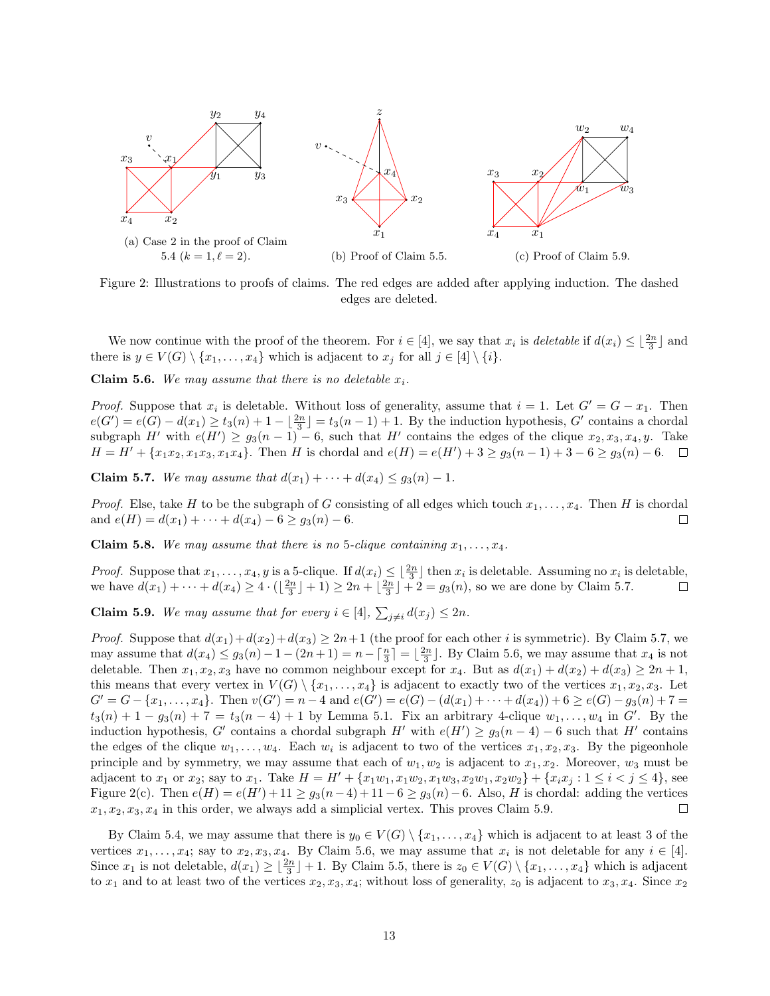

Figure 2: Illustrations to proofs of claims. The red edges are added after applying induction. The dashed edges are deleted.

We now continue with the proof of the theorem. For  $i \in [4]$ , we say that  $x_i$  is *deletable* if  $d(x_i) \leq \lfloor \frac{2n}{3} \rfloor$  and there is  $y \in V(G) \setminus \{x_1, \ldots, x_4\}$  which is adjacent to  $x_j$  for all  $j \in [4] \setminus \{i\}$ .

Claim 5.6. We may assume that there is no deletable  $x_i$ .

*Proof.* Suppose that  $x_i$  is deletable. Without loss of generality, assume that  $i = 1$ . Let  $G' = G - x_1$ . Then  $e(G') = e(G) - d(x_1) \ge t_3(n) + 1 - \lfloor \frac{2n}{3} \rfloor = t_3(n-1) + 1$ . By the induction hypothesis, G' contains a chordal subgraph H' with  $e(H') \ge g_3(n-1) - 6$ , such that H' contains the edges of the clique  $x_2, x_3, x_4, y$ . Take  $H = H' + \{x_1x_2, x_1x_3, x_1x_4\}.$  Then H is chordal and  $e(H) = e(H') + 3 \ge g_3(n-1) + 3 - 6 \ge g_3(n) - 6.$ 

Claim 5.7. We may assume that  $d(x_1) + \cdots + d(x_4) \leq g_3(n) - 1$ .

*Proof.* Else, take H to be the subgraph of G consisting of all edges which touch  $x_1, \ldots, x_4$ . Then H is chordal and  $e(H) = d(x_1) + \cdots + d(x_4) - 6 \ge g_3(n) - 6$ .  $\Box$ 

**Claim 5.8.** We may assume that there is no 5-clique containing  $x_1, \ldots, x_4$ .

*Proof.* Suppose that  $x_1, \ldots, x_4, y$  is a 5-clique. If  $d(x_i) \leq \lfloor \frac{2n}{3} \rfloor$  then  $x_i$  is deletable. Assuming no  $x_i$  is deletable, we have  $d(x_1) + \cdots + d(x_4) \ge 4 \cdot (\lfloor \frac{2n}{3} \rfloor + 1) \ge 2n + \lfloor \frac{2n}{3} \rfloor + 2 = g_3(n)$ , so we are done by Claim 5.7.

**Claim 5.9.** We may assume that for every  $i \in [4]$ ,  $\sum_{j \neq i} d(x_j) \leq 2n$ .

*Proof.* Suppose that  $d(x_1)+d(x_2)+d(x_3) \geq 2n+1$  (the proof for each other i is symmetric). By Claim 5.7, we may assume that  $d(x_4) \leq g_3(n) - 1 - (2n + 1) = n - \lceil \frac{n}{3} \rceil = \lfloor \frac{2n}{3} \rfloor$ . By Claim 5.6, we may assume that  $x_4$  is not deletable. Then  $x_1, x_2, x_3$  have no common neighbour except for  $x_4$ . But as  $d(x_1) + d(x_2) + d(x_3) \ge 2n + 1$ , this means that every vertex in  $V(G) \setminus \{x_1, \ldots, x_4\}$  is adjacent to exactly two of the vertices  $x_1, x_2, x_3$ . Let  $G' = G - \{x_1, \ldots, x_4\}.$  Then  $v(G') = n - 4$  and  $e(G') = e(G) - (d(x_1) + \cdots + d(x_4)) + 6 \ge e(G) - g_3(n) + 7 =$  $t_3(n) + 1 - g_3(n) + 7 = t_3(n-4) + 1$  by Lemma 5.1. Fix an arbitrary 4-clique  $w_1, \ldots, w_4$  in G'. By the induction hypothesis, G' contains a chordal subgraph H' with  $e(H') \geq g_3(n-4) - 6$  such that H' contains the edges of the clique  $w_1, \ldots, w_4$ . Each  $w_i$  is adjacent to two of the vertices  $x_1, x_2, x_3$ . By the pigeonhole principle and by symmetry, we may assume that each of  $w_1, w_2$  is adjacent to  $x_1, x_2$ . Moreover,  $w_3$  must be adjacent to  $x_1$  or  $x_2$ ; say to  $x_1$ . Take  $H = H' + \{x_1w_1, x_1w_2, x_1w_3, x_2w_1, x_2w_2\} + \{x_ix_j : 1 \leq i < j \leq 4\}$ , see Figure 2(c). Then  $e(H) = e(H') + 11 \ge g_3(n-4) + 11 - 6 \ge g_3(n) - 6$ . Also, H is chordal: adding the vertices  $x_1, x_2, x_3, x_4$  in this order, we always add a simplicial vertex. This proves Claim 5.9.  $\Box$ 

By Claim 5.4, we may assume that there is  $y_0 \in V(G) \setminus \{x_1, \ldots, x_4\}$  which is adjacent to at least 3 of the vertices  $x_1, \ldots, x_4$ ; say to  $x_2, x_3, x_4$ . By Claim 5.6, we may assume that  $x_i$  is not deletable for any  $i \in [4]$ . Since  $x_1$  is not deletable,  $d(x_1) \geq \lfloor \frac{2n}{3} \rfloor + 1$ . By Claim 5.5, there is  $z_0 \in V(G) \setminus \{x_1, \ldots, x_4\}$  which is adjacent to  $x_1$  and to at least two of the vertices  $x_2, x_3, x_4$ ; without loss of generality,  $z_0$  is adjacent to  $x_3, x_4$ . Since  $x_2$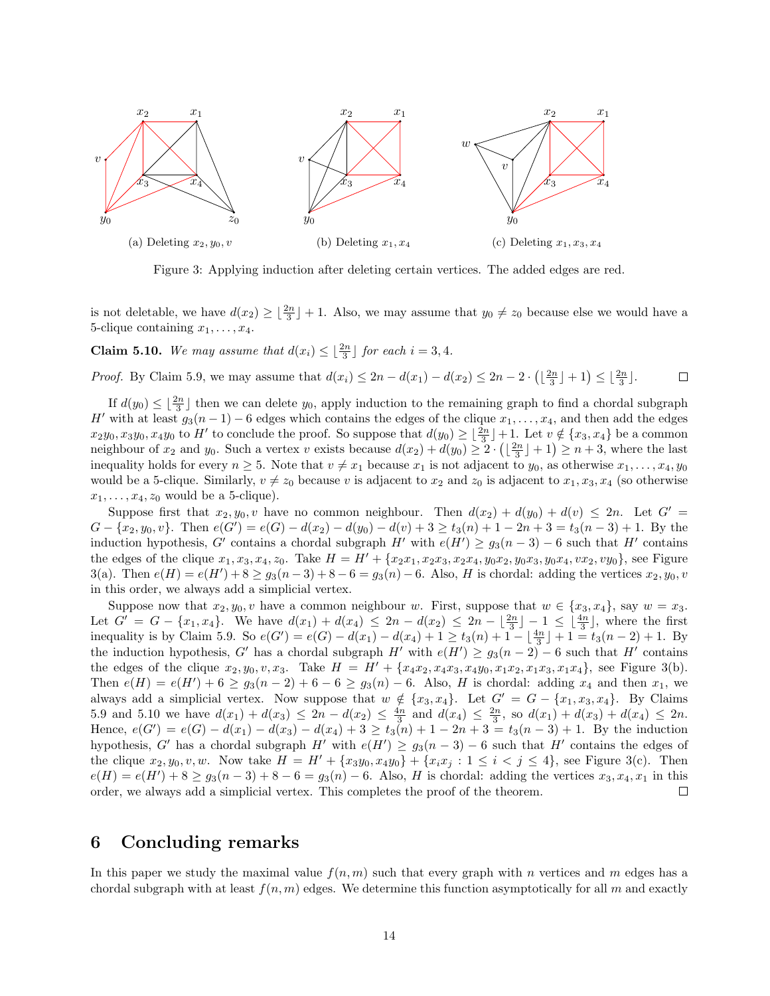

Figure 3: Applying induction after deleting certain vertices. The added edges are red.

is not deletable, we have  $d(x_2) \geq \lfloor \frac{2n}{3} \rfloor + 1$ . Also, we may assume that  $y_0 \neq z_0$  because else we would have a 5-clique containing  $x_1, \ldots, x_4$ .

**Claim 5.10.** We may assume that  $d(x_i) \leq \left\lfloor \frac{2n}{3} \right\rfloor$  for each  $i = 3, 4$ .

*Proof.* By Claim 5.9, we may assume that  $d(x_i) \leq 2n - d(x_1) - d(x_2) \leq 2n - 2 \cdot (\lfloor \frac{2n}{3} \rfloor + 1) \leq \lfloor \frac{2n}{3} \rfloor$ .  $\Box$ 

If  $d(y_0) \leq \lfloor \frac{2n}{3} \rfloor$  then we can delete  $y_0$ , apply induction to the remaining graph to find a chordal subgraph H' with at least  $g_3(n-1) - 6$  edges which contains the edges of the clique  $x_1, \ldots, x_4$ , and then add the edges  $x_2y_0, x_3y_0, x_4y_0$  to H' to conclude the proof. So suppose that  $d(y_0) \geq \lfloor \frac{2n}{3} \rfloor + 1$ . Let  $v \notin \{x_3, x_4\}$  be a common neighbour of  $x_2$  and  $y_0$ . Such a vertex v exists because  $d(x_2) + d(y_0) \geq 2 \cdot (\lfloor \frac{2n}{3} \rfloor + 1) \geq n + 3$ , where the last inequality holds for every  $n \geq 5$ . Note that  $v \neq x_1$  because  $x_1$  is not adjacent to  $y_0$ , as otherwise  $x_1, \ldots, x_4, y_0$ would be a 5-clique. Similarly,  $v \neq z_0$  because v is adjacent to  $x_2$  and  $z_0$  is adjacent to  $x_1, x_3, x_4$  (so otherwise  $x_1, \ldots, x_4, z_0$  would be a 5-clique).

Suppose first that  $x_2, y_0, v$  have no common neighbour. Then  $d(x_2) + d(y_0) + d(v) \leq 2n$ . Let  $G' =$  $G - \{x_2, y_0, v\}$ . Then  $e(G') = e(G) - d(x_2) - d(y_0) - d(v) + 3 \ge t_3(n) + 1 - 2n + 3 = t_3(n-3) + 1$ . By the induction hypothesis, G' contains a chordal subgraph H' with  $e(H') \ge g_3(n-3) - 6$  such that H' contains the edges of the clique  $x_1, x_3, x_4, z_0$ . Take  $H = H' + \{x_2x_1, x_2x_3, x_2x_4, y_0x_2, y_0x_3, y_0x_4, vx_2, vy_0\}$ , see Figure 3(a). Then  $e(H) = e(H') + 8 \ge g_3(n-3) + 8 - 6 = g_3(n) - 6$ . Also, H is chordal: adding the vertices  $x_2, y_0, v_0$ in this order, we always add a simplicial vertex.

Suppose now that  $x_2, y_0, v$  have a common neighbour w. First, suppose that  $w \in \{x_3, x_4\}$ , say  $w = x_3$ . Let  $G' = G - \{x_1, x_4\}$ . We have  $d(x_1) + d(x_4) \leq 2n - d(x_2) \leq 2n - \lfloor \frac{2n}{3} \rfloor - 1 \leq \lfloor \frac{4n}{3} \rfloor$ , where the first inequality is by Claim 5.9. So  $e(G') = e(G) - d(x_1) - d(x_4) + 1 \ge t_3(n) + 1 - \lfloor \frac{4n}{3} \rfloor + 1 = t_3(n-2) + 1$ . By the induction hypothesis, G' has a chordal subgraph H' with  $e(H') \ge g_3(n-2) - 6$  such that H' contains the edges of the clique  $x_2, y_0, v, x_3$ . Take  $H = H' + \{x_4x_2, x_4x_3, x_4y_0, x_1x_2, x_1x_3, x_1x_4\}$ , see Figure 3(b). Then  $e(H) = e(H') + 6 \ge g_3(n-2) + 6 - 6 \ge g_3(n) - 6$ . Also, H is chordal: adding  $x_4$  and then  $x_1$ , we always add a simplicial vertex. Now suppose that  $w \notin \{x_3, x_4\}$ . Let  $G' = G - \{x_1, x_3, x_4\}$ . By Claims 5.9 and 5.10 we have  $d(x_1) + d(x_3) \le 2n - d(x_2) \le \frac{4n}{3}$  and  $d(x_4) \le \frac{2n}{3}$ , so  $d(x_1) + d(x_3) + d(x_4) \le 2n$ . Hence,  $e(G') = e(G) - d(x_1) - d(x_3) - d(x_4) + 3 \ge t_3(n) + 1 - 2n + 3 = t_3(n-3) + 1$ . By the induction hypothesis, G' has a chordal subgraph H' with  $e(H') \ge g_3(n-3) - 6$  such that H' contains the edges of the clique  $x_2, y_0, v, w$ . Now take  $H = H' + \{x_3y_0, x_4y_0\} + \{x_ix_j : 1 \le i < j \le 4\}$ , see Figure 3(c). Then  $e(H) = e(H') + 8 \ge g_3(n-3) + 8 - 6 = g_3(n) - 6$ . Also, H is chordal: adding the vertices  $x_3, x_4, x_1$  in this order, we always add a simplicial vertex. This completes the proof of the theorem.  $\Box$ 

## 6 Concluding remarks

In this paper we study the maximal value  $f(n, m)$  such that every graph with n vertices and m edges has a chordal subgraph with at least  $f(n, m)$  edges. We determine this function asymptotically for all m and exactly